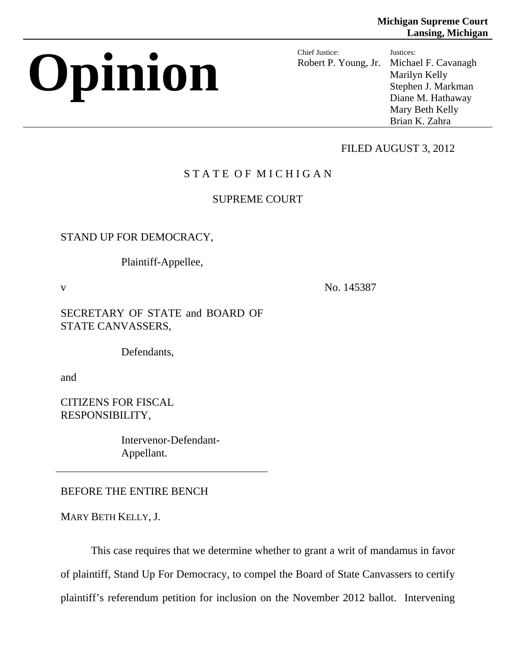# **Opinion Chief Justice:**

Robert P. Young, Jr. Justices: Michael F. Cavanagh Marilyn Kelly Stephen J. Markman Diane M. Hathaway Mary Beth Kelly Brian K. Zahra

# FILED AUGUST 3, 2012

# STATE OF MICHIGAN

# SUPREME COURT

STAND UP FOR DEMOCRACY,

Plaintiff-Appellee,

v No. 145387

SECRETARY OF STATE and BOARD OF STATE CANVASSERS,

Defendants,

and

CITIZENS FOR FISCAL RESPONSIBILITY,

> Intervenor-Defendant-Appellant.

BEFORE THE ENTIRE BENCH

MARY BETH KELLY, J.

This case requires that we determine whether to grant a writ of mandamus in favor of plaintiff, Stand Up For Democracy, to compel the Board of State Canvassers to certify plaintiff's referendum petition for inclusion on the November 2012 ballot. Intervening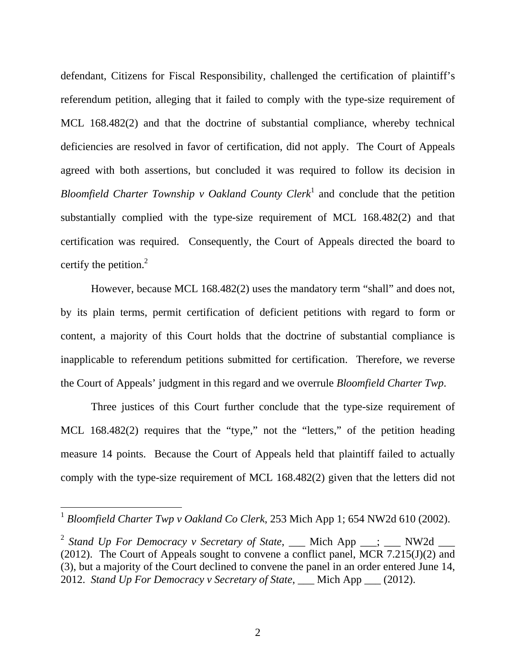defendant, Citizens for Fiscal Responsibility, challenged the certification of plaintiff's referendum petition, alleging that it failed to comply with the type-size requirement of MCL 168.482(2) and that the doctrine of substantial compliance, whereby technical deficiencies are resolved in favor of certification, did not apply. The Court of Appeals agreed with both assertions, but concluded it was required to follow its decision in Bloomfield Charter Township v Oakland County Clerk<sup>1</sup> and conclude that the petition substantially complied with the type-size requirement of MCL 168.482(2) and that certification was required. Consequently, the Court of Appeals directed the board to certify the petition. $2$ 

However, because MCL 168.482(2) uses the mandatory term "shall" and does not, by its plain terms, permit certification of deficient petitions with regard to form or content, a majority of this Court holds that the doctrine of substantial compliance is inapplicable to referendum petitions submitted for certification. Therefore, we reverse the Court of Appeals' judgment in this regard and we overrule *Bloomfield Charter Twp*.

Three justices of this Court further conclude that the type-size requirement of MCL 168.482(2) requires that the "type," not the "letters," of the petition heading measure 14 points. Because the Court of Appeals held that plaintiff failed to actually comply with the type-size requirement of MCL 168.482(2) given that the letters did not

<sup>1</sup> *Bloomfield Charter Twp v Oakland Co Clerk*, 253 Mich App 1; 654 NW2d 610 (2002).

<sup>&</sup>lt;sup>2</sup> Stand Up For Democracy v Secretary of State, \_\_\_ Mich App \_\_\_; \_\_\_ NW2d \_\_\_ (2012). The Court of Appeals sought to convene a conflict panel, MCR 7.215(J)(2) and (3), but a majority of the Court declined to convene the panel in an order entered June 14, 2012. *Stand Up For Democracy v Secretary of State*, \_\_\_ Mich App \_\_\_ (2012).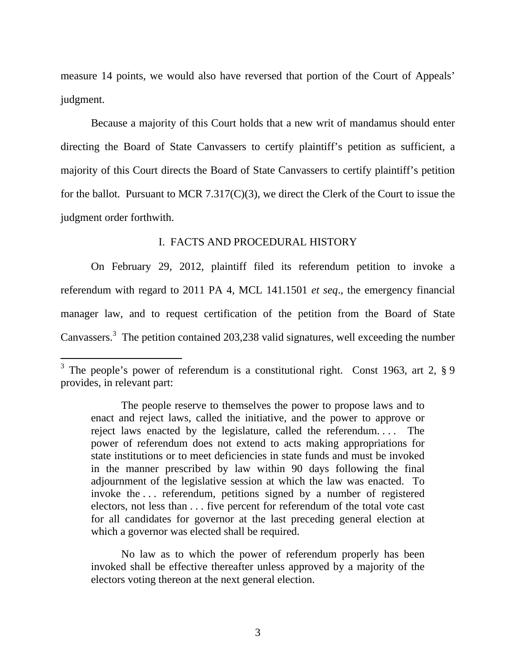measure 14 points, we would also have reversed that portion of the Court of Appeals' judgment.

Because a majority of this Court holds that a new writ of mandamus should enter directing the Board of State Canvassers to certify plaintiff's petition as sufficient, a majority of this Court directs the Board of State Canvassers to certify plaintiff's petition for the ballot. Pursuant to MCR 7.317(C)(3), we direct the Clerk of the Court to issue the judgment order forthwith.

#### I. FACTS AND PROCEDURAL HISTORY

On February 29, 2012, plaintiff filed its referendum petition to invoke a referendum with regard to 2011 PA 4, MCL 141.1501 *et seq*., the emergency financial manager law, and to request certification of the petition from the Board of State Canvassers.<sup>3</sup> The petition contained 203,238 valid signatures, well exceeding the number

 $\overline{a}$ 

No law as to which the power of referendum properly has been invoked shall be effective thereafter unless approved by a majority of the electors voting thereon at the next general election.

<sup>&</sup>lt;sup>3</sup> The people's power of referendum is a constitutional right. Const 1963, art 2,  $\S$  9 provides, in relevant part:

The people reserve to themselves the power to propose laws and to enact and reject laws, called the initiative, and the power to approve or reject laws enacted by the legislature, called the referendum. . . . The power of referendum does not extend to acts making appropriations for state institutions or to meet deficiencies in state funds and must be invoked in the manner prescribed by law within 90 days following the final adjournment of the legislative session at which the law was enacted. To invoke the . . . referendum, petitions signed by a number of registered electors, not less than . . . five percent for referendum of the total vote cast for all candidates for governor at the last preceding general election at which a governor was elected shall be required.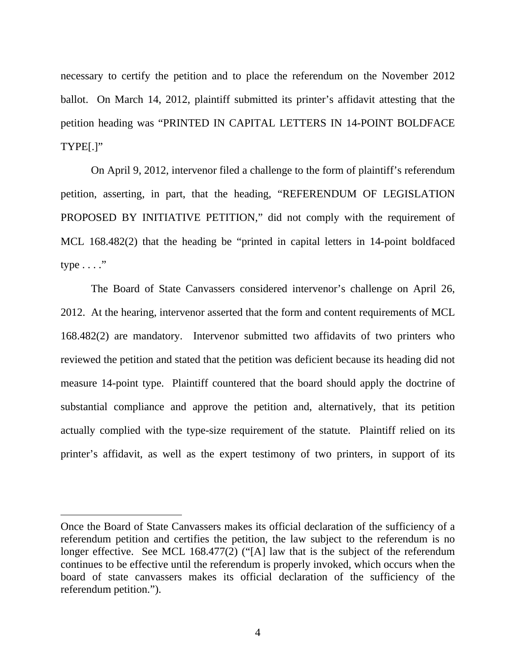necessary to certify the petition and to place the referendum on the November 2012 ballot. On March 14, 2012, plaintiff submitted its printer's affidavit attesting that the petition heading was "PRINTED IN CAPITAL LETTERS IN 14-POINT BOLDFACE TYPE[.]"

On April 9, 2012, intervenor filed a challenge to the form of plaintiff's referendum petition, asserting, in part, that the heading, "REFERENDUM OF LEGISLATION PROPOSED BY INITIATIVE PETITION," did not comply with the requirement of MCL 168.482(2) that the heading be "printed in capital letters in 14-point boldfaced type  $\dots$ ."

The Board of State Canvassers considered intervenor's challenge on April 26, 2012. At the hearing, intervenor asserted that the form and content requirements of MCL 168.482(2) are mandatory. Intervenor submitted two affidavits of two printers who reviewed the petition and stated that the petition was deficient because its heading did not measure 14-point type. Plaintiff countered that the board should apply the doctrine of substantial compliance and approve the petition and, alternatively, that its petition actually complied with the type-size requirement of the statute. Plaintiff relied on its printer's affidavit, as well as the expert testimony of two printers, in support of its

Once the Board of State Canvassers makes its official declaration of the sufficiency of a referendum petition and certifies the petition, the law subject to the referendum is no longer effective. See MCL 168.477(2) ("[A] law that is the subject of the referendum continues to be effective until the referendum is properly invoked, which occurs when the board of state canvassers makes its official declaration of the sufficiency of the referendum petition.").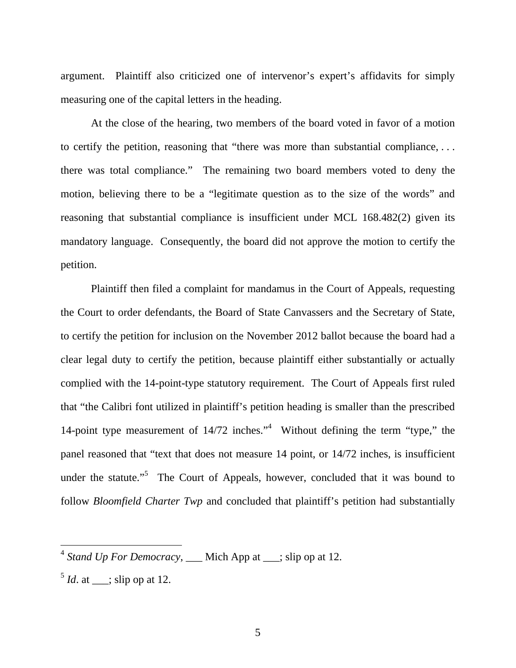argument. Plaintiff also criticized one of intervenor's expert's affidavits for simply measuring one of the capital letters in the heading.

At the close of the hearing, two members of the board voted in favor of a motion to certify the petition, reasoning that "there was more than substantial compliance, . . . there was total compliance." The remaining two board members voted to deny the motion, believing there to be a "legitimate question as to the size of the words" and reasoning that substantial compliance is insufficient under MCL 168.482(2) given its mandatory language. Consequently, the board did not approve the motion to certify the petition.

Plaintiff then filed a complaint for mandamus in the Court of Appeals, requesting the Court to order defendants, the Board of State Canvassers and the Secretary of State, to certify the petition for inclusion on the November 2012 ballot because the board had a clear legal duty to certify the petition, because plaintiff either substantially or actually complied with the 14-point-type statutory requirement. The Court of Appeals first ruled that "the Calibri font utilized in plaintiff's petition heading is smaller than the prescribed 14-point type measurement of 14/72 inches."<sup>4</sup> Without defining the term "type," the panel reasoned that "text that does not measure 14 point, or 14/72 inches, is insufficient under the statute."<sup>5</sup> The Court of Appeals, however, concluded that it was bound to follow *Bloomfield Charter Twp* and concluded that plaintiff's petition had substantially

 $4$  *Stand Up For Democracy*, \_\_\_ Mich App at \_\_\_; slip op at 12.

 $<sup>5</sup>$  *Id.* at \_\_\_; slip op at 12.</sup>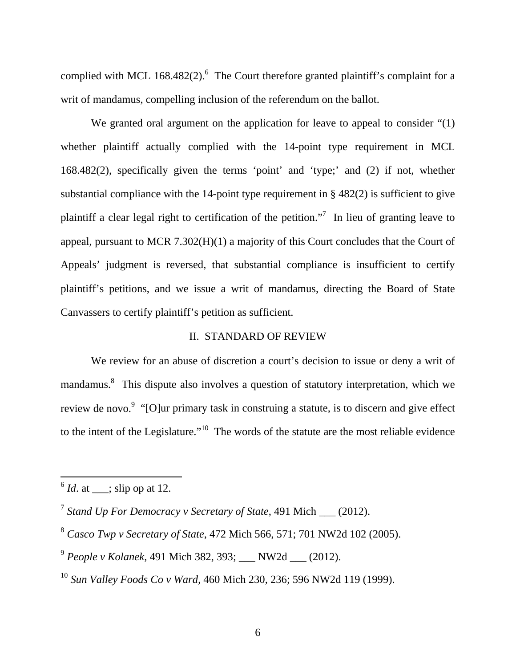complied with MCL 168.482(2). <sup>6</sup> The Court therefore granted plaintiff's complaint for a writ of mandamus, compelling inclusion of the referendum on the ballot.

We granted oral argument on the application for leave to appeal to consider "(1) whether plaintiff actually complied with the 14-point type requirement in MCL 168.482(2), specifically given the terms 'point' and 'type;' and (2) if not, whether substantial compliance with the 14-point type requirement in  $\S$  482(2) is sufficient to give plaintiff a clear legal right to certification of the petition."<sup>7</sup> In lieu of granting leave to appeal, pursuant to MCR 7.302(H)(1) a majority of this Court concludes that the Court of Appeals' judgment is reversed, that substantial compliance is insufficient to certify plaintiff's petitions, and we issue a writ of mandamus, directing the Board of State Canvassers to certify plaintiff's petition as sufficient.

#### II. STANDARD OF REVIEW

We review for an abuse of discretion a court's decision to issue or deny a writ of mandamus.<sup>8</sup> This dispute also involves a question of statutory interpretation, which we review de novo.<sup>9</sup> "[O]ur primary task in construing a statute, is to discern and give effect to the intent of the Legislature."<sup>10</sup> The words of the statute are the most reliable evidence

 $^6$  *Id.* at \_\_; slip op at 12.

<sup>7</sup> *Stand Up For Democracy v Secretary of State*, 491 Mich \_\_\_ (2012).

<sup>8</sup> *Casco Twp v Secretary of State*, 472 Mich 566, 571; 701 NW2d 102 (2005).

<sup>9</sup> *People v Kolanek*, 491 Mich 382, 393; \_\_\_ NW2d \_\_\_ (2012).

<sup>10</sup> *Sun Valley Foods Co v Ward*, 460 Mich 230, 236; 596 NW2d 119 (1999).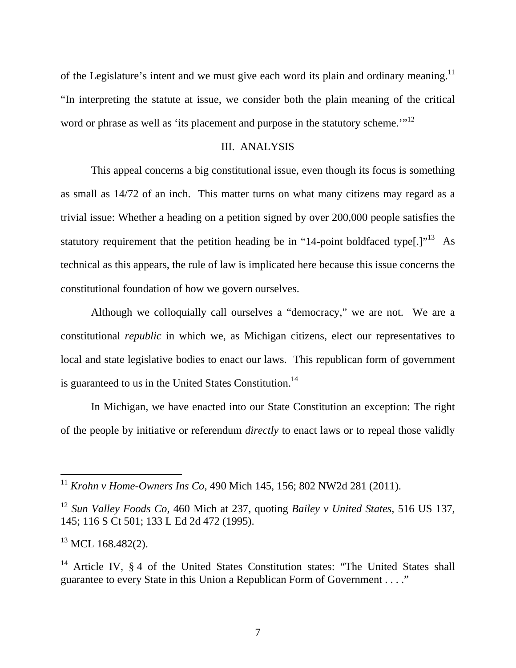of the Legislature's intent and we must give each word its plain and ordinary meaning.<sup>11</sup> "In interpreting the statute at issue, we consider both the plain meaning of the critical word or phrase as well as 'its placement and purpose in the statutory scheme.'"<sup>12</sup>

#### III. ANALYSIS

This appeal concerns a big constitutional issue, even though its focus is something as small as 14/72 of an inch. This matter turns on what many citizens may regard as a trivial issue: Whether a heading on a petition signed by over 200,000 people satisfies the statutory requirement that the petition heading be in "14-point boldfaced type<sup>[.]"13</sup> As technical as this appears, the rule of law is implicated here because this issue concerns the constitutional foundation of how we govern ourselves.

Although we colloquially call ourselves a "democracy," we are not. We are a constitutional *republic* in which we, as Michigan citizens, elect our representatives to local and state legislative bodies to enact our laws. This republican form of government is guaranteed to us in the United States Constitution.<sup>14</sup>

In Michigan, we have enacted into our State Constitution an exception: The right of the people by initiative or referendum *directly* to enact laws or to repeal those validly

<sup>11</sup> *Krohn v Home-Owners Ins Co*, 490 Mich 145, 156; 802 NW2d 281 (2011).

<sup>12</sup> *Sun Valley Foods Co*, 460 Mich at 237, quoting *Bailey v United States*, 516 US 137, 145; 116 S Ct 501; 133 L Ed 2d 472 (1995).

 $^{13}$  MCL 168.482(2).

<sup>&</sup>lt;sup>14</sup> Article IV,  $\S 4$  of the United States Constitution states: "The United States shall guarantee to every State in this Union a Republican Form of Government . . . ."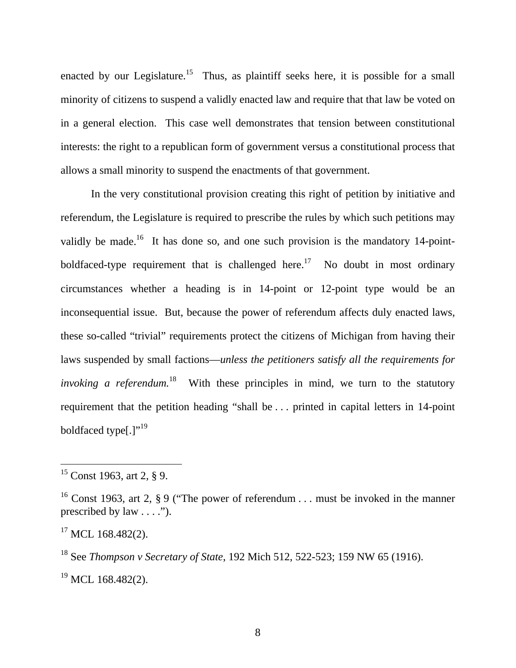enacted by our Legislature.<sup>15</sup> Thus, as plaintiff seeks here, it is possible for a small minority of citizens to suspend a validly enacted law and require that that law be voted on in a general election. This case well demonstrates that tension between constitutional interests: the right to a republican form of government versus a constitutional process that allows a small minority to suspend the enactments of that government.

In the very constitutional provision creating this right of petition by initiative and referendum, the Legislature is required to prescribe the rules by which such petitions may validly be made.<sup>16</sup> It has done so, and one such provision is the mandatory 14-pointboldfaced-type requirement that is challenged here.<sup>17</sup> No doubt in most ordinary circumstances whether a heading is in 14-point or 12-point type would be an inconsequential issue. But, because the power of referendum affects duly enacted laws, these so-called "trivial" requirements protect the citizens of Michigan from having their laws suspended by small factions—*unless the petitioners satisfy all the requirements for invoking a referendum.*<sup>18</sup> With these principles in mind, we turn to the statutory requirement that the petition heading "shall be . . . printed in capital letters in 14-point boldfaced type[.]"<sup>19</sup>

 $15$  Const 1963, art 2, § 9.

<sup>&</sup>lt;sup>16</sup> Const 1963, art 2, § 9 ("The power of referendum . . . must be invoked in the manner prescribed by law  $\dots$ .").

 $17$  MCL 168.482(2).

<sup>18</sup> See *Thompson v Secretary of State*, 192 Mich 512, 522-523; 159 NW 65 (1916).  $19$  MCL 168.482(2).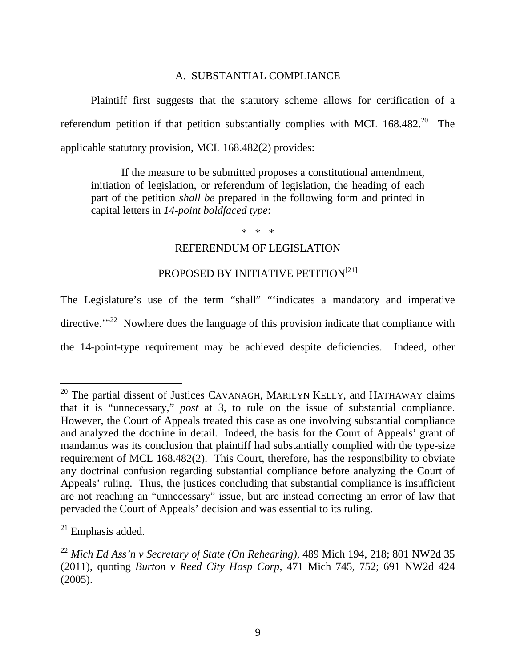## A. SUBSTANTIAL COMPLIANCE

Plaintiff first suggests that the statutory scheme allows for certification of a referendum petition if that petition substantially complies with MCL  $168.482.^{20}$  The applicable statutory provision, MCL 168.482(2) provides:

If the measure to be submitted proposes a constitutional amendment, initiation of legislation, or referendum of legislation, the heading of each part of the petition *shall be* prepared in the following form and printed in capital letters in *14-point boldfaced type*:

\* \* \*

## REFERENDUM OF LEGISLATION

## PROPOSED BY INITIATIVE PETITION<sup>[21]</sup>

The Legislature's use of the term "shall" "'indicates a mandatory and imperative directive."<sup>22</sup> Nowhere does the language of this provision indicate that compliance with the 14-point-type requirement may be achieved despite deficiencies. Indeed, other

 $20$  The partial dissent of Justices CAVANAGH, MARILYN KELLY, and HATHAWAY claims that it is "unnecessary," *post* at 3, to rule on the issue of substantial compliance. However, the Court of Appeals treated this case as one involving substantial compliance and analyzed the doctrine in detail. Indeed, the basis for the Court of Appeals' grant of mandamus was its conclusion that plaintiff had substantially complied with the type-size requirement of MCL 168.482(2). This Court, therefore, has the responsibility to obviate any doctrinal confusion regarding substantial compliance before analyzing the Court of Appeals' ruling. Thus, the justices concluding that substantial compliance is insufficient are not reaching an "unnecessary" issue, but are instead correcting an error of law that pervaded the Court of Appeals' decision and was essential to its ruling.

 $21$  Emphasis added.

<sup>22</sup> *Mich Ed Ass'n v Secretary of State (On Rehearing)*, 489 Mich 194, 218; 801 NW2d 35 (2011), quoting *Burton v Reed City Hosp Corp*, 471 Mich 745, 752; 691 NW2d 424 (2005).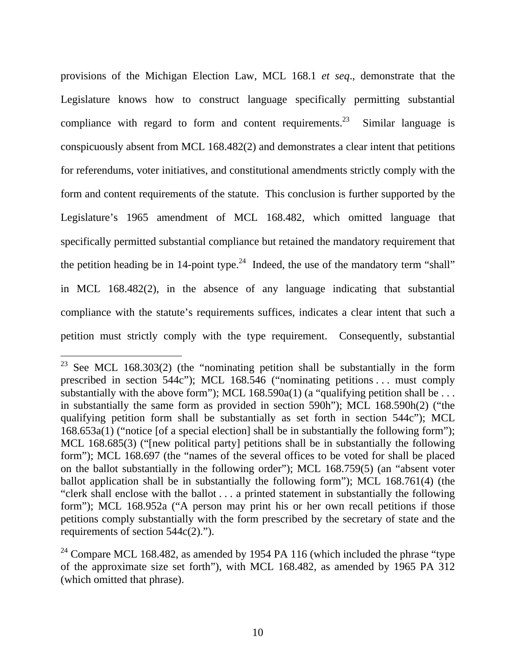provisions of the Michigan Election Law, MCL 168.1 *et seq*., demonstrate that the Legislature knows how to construct language specifically permitting substantial compliance with regard to form and content requirements.<sup>23</sup> Similar language is conspicuously absent from MCL 168.482(2) and demonstrates a clear intent that petitions for referendums, voter initiatives, and constitutional amendments strictly comply with the form and content requirements of the statute. This conclusion is further supported by the Legislature's 1965 amendment of MCL 168.482, which omitted language that specifically permitted substantial compliance but retained the mandatory requirement that the petition heading be in 14-point type.<sup>24</sup> Indeed, the use of the mandatory term "shall" in MCL 168.482(2), in the absence of any language indicating that substantial compliance with the statute's requirements suffices, indicates a clear intent that such a petition must strictly comply with the type requirement. Consequently, substantial

<sup>&</sup>lt;sup>23</sup> See MCL 168.303(2) (the "nominating petition shall be substantially in the form prescribed in section 544c"); MCL 168.546 ("nominating petitions . . . must comply substantially with the above form"); MCL  $168.590a(1)$  (a "qualifying petition shall be ... in substantially the same form as provided in section 590h"); MCL 168.590h(2) ("the qualifying petition form shall be substantially as set forth in section 544c"); MCL  $168.653a(1)$  ("notice [of a special election] shall be in substantially the following form"); MCL 168.685(3) ("[new political party] petitions shall be in substantially the following form"); MCL 168.697 (the "names of the several offices to be voted for shall be placed on the ballot substantially in the following order"); MCL 168.759(5) (an "absent voter ballot application shall be in substantially the following form"); MCL 168.761(4) (the "clerk shall enclose with the ballot . . . a printed statement in substantially the following form"); MCL 168.952a ("A person may print his or her own recall petitions if those petitions comply substantially with the form prescribed by the secretary of state and the requirements of section 544c(2).").

<sup>&</sup>lt;sup>24</sup> Compare MCL 168.482, as amended by 1954 PA 116 (which included the phrase "type" of the approximate size set forth"), with MCL 168.482, as amended by 1965 PA 312 (which omitted that phrase).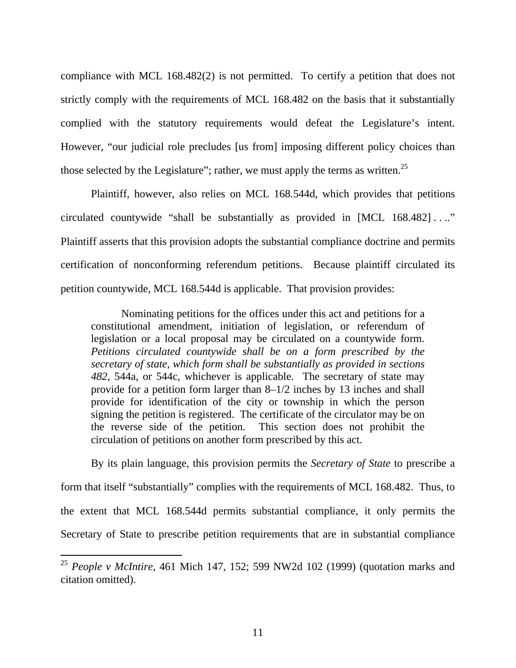compliance with MCL 168.482(2) is not permitted. To certify a petition that does not strictly comply with the requirements of MCL 168.482 on the basis that it substantially complied with the statutory requirements would defeat the Legislature's intent. However, "our judicial role precludes [us from] imposing different policy choices than those selected by the Legislature"; rather, we must apply the terms as written.<sup>25</sup>

 Plaintiff, however, also relies on MCL 168.544d, which provides that petitions circulated countywide "shall be substantially as provided in [MCL 168.482] . . .." Plaintiff asserts that this provision adopts the substantial compliance doctrine and permits certification of nonconforming referendum petitions. Because plaintiff circulated its petition countywide, MCL 168.544d is applicable. That provision provides:

Nominating petitions for the offices under this act and petitions for a constitutional amendment, initiation of legislation, or referendum of legislation or a local proposal may be circulated on a countywide form. *Petitions circulated countywide shall be on a form prescribed by the secretary of state, which form shall be substantially as provided in sections 482*, 544a, or 544c, whichever is applicable. The secretary of state may provide for a petition form larger than 8–1/2 inches by 13 inches and shall provide for identification of the city or township in which the person signing the petition is registered. The certificate of the circulator may be on the reverse side of the petition. This section does not prohibit the circulation of petitions on another form prescribed by this act.

 By its plain language, this provision permits the *Secretary of State* to prescribe a form that itself "substantially" complies with the requirements of MCL 168.482. Thus, to the extent that MCL 168.544d permits substantial compliance, it only permits the Secretary of State to prescribe petition requirements that are in substantial compliance

<sup>25</sup> *People v McIntire*, 461 Mich 147, 152; 599 NW2d 102 (1999) (quotation marks and citation omitted).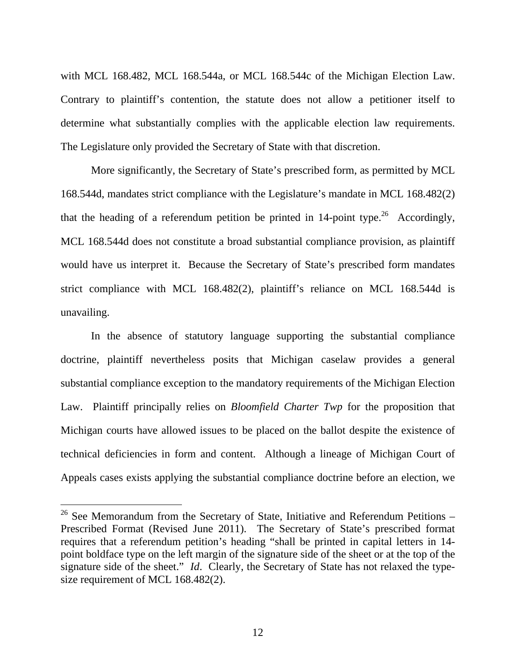with MCL 168.482, MCL 168.544a, or MCL 168.544c of the Michigan Election Law. Contrary to plaintiff's contention, the statute does not allow a petitioner itself to determine what substantially complies with the applicable election law requirements. The Legislature only provided the Secretary of State with that discretion.

 More significantly, the Secretary of State's prescribed form, as permitted by MCL 168.544d, mandates strict compliance with the Legislature's mandate in MCL 168.482(2) that the heading of a referendum petition be printed in  $14$ -point type.<sup>26</sup> Accordingly, MCL 168.544d does not constitute a broad substantial compliance provision, as plaintiff would have us interpret it. Because the Secretary of State's prescribed form mandates strict compliance with MCL 168.482(2), plaintiff's reliance on MCL 168.544d is unavailing.

 In the absence of statutory language supporting the substantial compliance doctrine, plaintiff nevertheless posits that Michigan caselaw provides a general substantial compliance exception to the mandatory requirements of the Michigan Election Law. Plaintiff principally relies on *Bloomfield Charter Twp* for the proposition that Michigan courts have allowed issues to be placed on the ballot despite the existence of technical deficiencies in form and content. Although a lineage of Michigan Court of Appeals cases exists applying the substantial compliance doctrine before an election, we

 $26$  See Memorandum from the Secretary of State, Initiative and Referendum Petitions – Prescribed Format (Revised June 2011). The Secretary of State's prescribed format requires that a referendum petition's heading "shall be printed in capital letters in 14 point boldface type on the left margin of the signature side of the sheet or at the top of the signature side of the sheet." *Id*. Clearly, the Secretary of State has not relaxed the typesize requirement of MCL 168.482(2).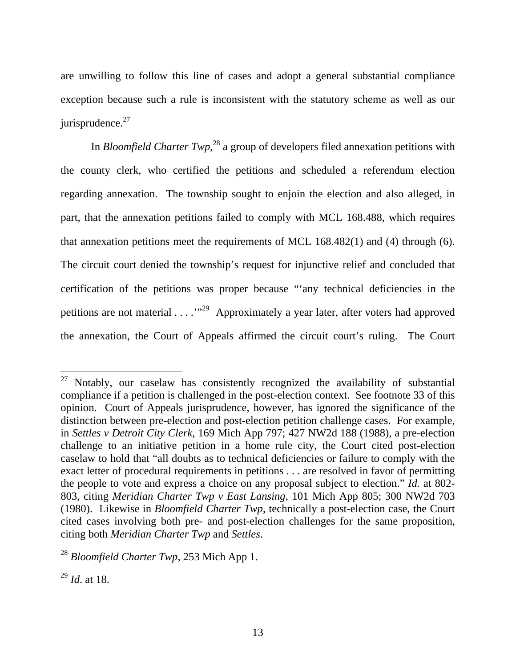are unwilling to follow this line of cases and adopt a general substantial compliance exception because such a rule is inconsistent with the statutory scheme as well as our  $i$ urisprudence.<sup>27</sup>

In *Bloomfield Charter Twp*<sup>28</sup> a group of developers filed annexation petitions with the county clerk, who certified the petitions and scheduled a referendum election regarding annexation. The township sought to enjoin the election and also alleged, in part, that the annexation petitions failed to comply with MCL 168.488, which requires that annexation petitions meet the requirements of MCL 168.482(1) and (4) through (6). The circuit court denied the township's request for injunctive relief and concluded that certification of the petitions was proper because "'any technical deficiencies in the petitions are not material  $\dots$   $\cdot$   $\cdot$   $\cdot$  Approximately a year later, after voters had approved the annexation, the Court of Appeals affirmed the circuit court's ruling. The Court

 $27$  Notably, our caselaw has consistently recognized the availability of substantial compliance if a petition is challenged in the post-election context. See footnote 33 of this opinion. Court of Appeals jurisprudence, however, has ignored the significance of the distinction between pre-election and post-election petition challenge cases. For example, in *Settles v Detroit City Clerk*, 169 Mich App 797; 427 NW2d 188 (1988), a pre-election challenge to an initiative petition in a home rule city, the Court cited post-election caselaw to hold that "all doubts as to technical deficiencies or failure to comply with the exact letter of procedural requirements in petitions . . . are resolved in favor of permitting the people to vote and express a choice on any proposal subject to election." *Id.* at 802- 803, citing *Meridian Charter Twp v East Lansing*, 101 Mich App 805; 300 NW2d 703 (1980). Likewise in *Bloomfield Charter Twp*, technically a post-election case, the Court cited cases involving both pre- and post-election challenges for the same proposition, citing both *Meridian Charter Twp* and *Settles*.

<sup>28</sup> *Bloomfield Charter Twp*, 253 Mich App 1.

<sup>29</sup> *Id*. at 18.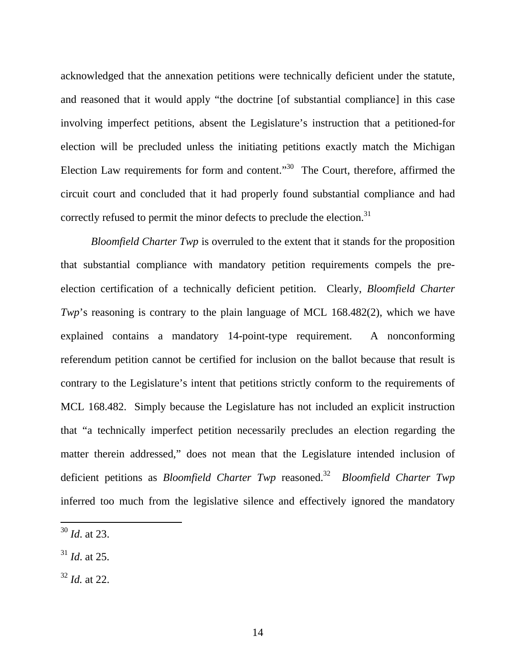acknowledged that the annexation petitions were technically deficient under the statute, and reasoned that it would apply "the doctrine [of substantial compliance] in this case involving imperfect petitions, absent the Legislature's instruction that a petitioned-for election will be precluded unless the initiating petitions exactly match the Michigan Election Law requirements for form and content."<sup>30</sup> The Court, therefore, affirmed the circuit court and concluded that it had properly found substantial compliance and had correctly refused to permit the minor defects to preclude the election.<sup>31</sup>

*Bloomfield Charter Twp* is overruled to the extent that it stands for the proposition that substantial compliance with mandatory petition requirements compels the preelection certification of a technically deficient petition. Clearly, *Bloomfield Charter Twp*'s reasoning is contrary to the plain language of MCL 168.482(2), which we have explained contains a mandatory 14-point-type requirement. A nonconforming referendum petition cannot be certified for inclusion on the ballot because that result is contrary to the Legislature's intent that petitions strictly conform to the requirements of MCL 168.482. Simply because the Legislature has not included an explicit instruction that "a technically imperfect petition necessarily precludes an election regarding the matter therein addressed," does not mean that the Legislature intended inclusion of deficient petitions as *Bloomfield Charter Twp* reasoned.32 *Bloomfield Charter Twp* inferred too much from the legislative silence and effectively ignored the mandatory

- <sup>31</sup> *Id*. at 25.
- <sup>32</sup> *Id.* at 22.

<sup>30</sup> *Id*. at 23.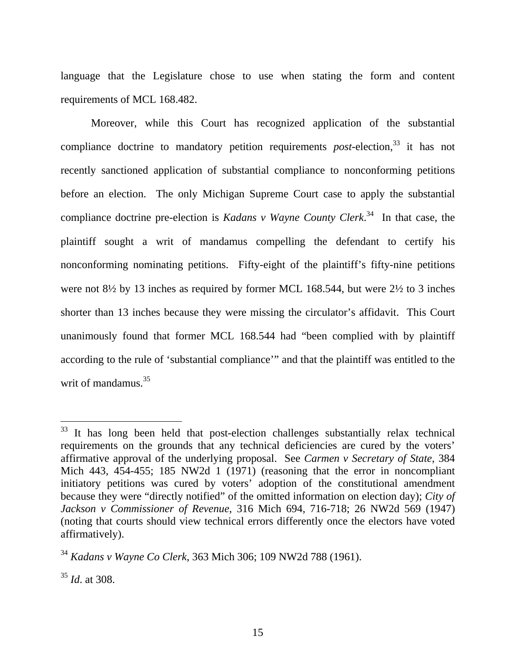language that the Legislature chose to use when stating the form and content requirements of MCL 168.482.

 Moreover, while this Court has recognized application of the substantial compliance doctrine to mandatory petition requirements *post*-election,<sup>33</sup> it has not recently sanctioned application of substantial compliance to nonconforming petitions before an election. The only Michigan Supreme Court case to apply the substantial compliance doctrine pre-election is *Kadans v Wayne County Clerk*. 34 In that case, the plaintiff sought a writ of mandamus compelling the defendant to certify his nonconforming nominating petitions. Fifty-eight of the plaintiff's fifty-nine petitions were not 8½ by 13 inches as required by former MCL 168.544, but were 2½ to 3 inches shorter than 13 inches because they were missing the circulator's affidavit. This Court unanimously found that former MCL 168.544 had "been complied with by plaintiff according to the rule of 'substantial compliance'" and that the plaintiff was entitled to the writ of mandamus.<sup>35</sup>

<sup>&</sup>lt;sup>33</sup> It has long been held that post-election challenges substantially relax technical requirements on the grounds that any technical deficiencies are cured by the voters' affirmative approval of the underlying proposal. See *Carmen v Secretary of State*, 384 Mich 443, 454-455; 185 NW2d 1 (1971) (reasoning that the error in noncompliant initiatory petitions was cured by voters' adoption of the constitutional amendment because they were "directly notified" of the omitted information on election day); *City of Jackson v Commissioner of Revenue*, 316 Mich 694, 716-718; 26 NW2d 569 (1947) (noting that courts should view technical errors differently once the electors have voted affirmatively).

<sup>34</sup> *Kadans v Wayne Co Clerk*, 363 Mich 306; 109 NW2d 788 (1961).

<sup>35</sup> *Id*. at 308.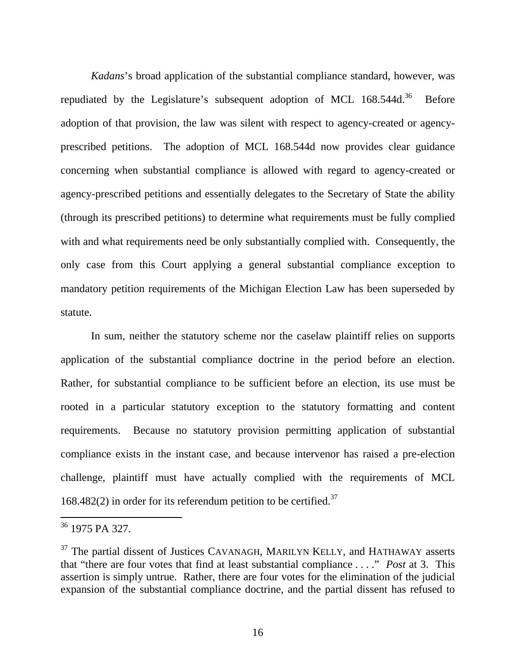*Kadans*'s broad application of the substantial compliance standard, however, was repudiated by the Legislature's subsequent adoption of MCL  $168.544d^{36}$  Before adoption of that provision, the law was silent with respect to agency-created or agencyprescribed petitions. The adoption of MCL 168.544d now provides clear guidance concerning when substantial compliance is allowed with regard to agency-created or agency-prescribed petitions and essentially delegates to the Secretary of State the ability (through its prescribed petitions) to determine what requirements must be fully complied with and what requirements need be only substantially complied with. Consequently, the only case from this Court applying a general substantial compliance exception to mandatory petition requirements of the Michigan Election Law has been superseded by statute.

 In sum, neither the statutory scheme nor the caselaw plaintiff relies on supports application of the substantial compliance doctrine in the period before an election. Rather, for substantial compliance to be sufficient before an election, its use must be rooted in a particular statutory exception to the statutory formatting and content requirements. Because no statutory provision permitting application of substantial compliance exists in the instant case, and because intervenor has raised a pre-election challenge, plaintiff must have actually complied with the requirements of MCL 168.482(2) in order for its referendum petition to be certified.<sup>37</sup>

<sup>36 1975</sup> PA 327.

 $37$  The partial dissent of Justices CAVANAGH, MARILYN KELLY, and HATHAWAY asserts that "there are four votes that find at least substantial compliance . . . ." *Post* at 3. This assertion is simply untrue. Rather, there are four votes for the elimination of the judicial expansion of the substantial compliance doctrine, and the partial dissent has refused to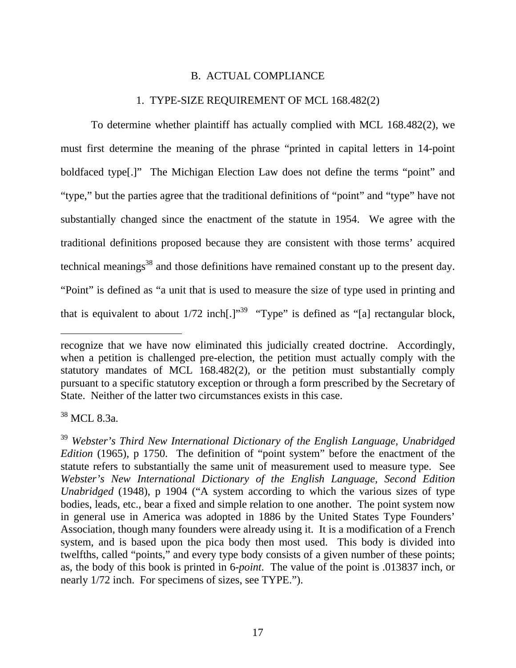#### B. ACTUAL COMPLIANCE

#### 1. TYPE-SIZE REQUIREMENT OF MCL 168.482(2)

To determine whether plaintiff has actually complied with MCL 168.482(2), we must first determine the meaning of the phrase "printed in capital letters in 14-point boldfaced type[.]" The Michigan Election Law does not define the terms "point" and "type," but the parties agree that the traditional definitions of "point" and "type" have not substantially changed since the enactment of the statute in 1954. We agree with the traditional definitions proposed because they are consistent with those terms' acquired technical meanings<sup>38</sup> and those definitions have remained constant up to the present day. "Point" is defined as "a unit that is used to measure the size of type used in printing and that is equivalent to about  $1/72$  inch[.]<sup>"39</sup> "Type" is defined as "[a] rectangular block,

38 MCL 8.3a.

recognize that we have now eliminated this judicially created doctrine. Accordingly, when a petition is challenged pre-election, the petition must actually comply with the statutory mandates of MCL 168.482(2), or the petition must substantially comply pursuant to a specific statutory exception or through a form prescribed by the Secretary of State. Neither of the latter two circumstances exists in this case.

<sup>39</sup> *Webster's Third New International Dictionary of the English Language, Unabridged Edition* (1965), p 1750. The definition of "point system" before the enactment of the statute refers to substantially the same unit of measurement used to measure type. See *Webster's New International Dictionary of the English Language, Second Edition Unabridged* (1948), p 1904 ("A system according to which the various sizes of type bodies, leads, etc., bear a fixed and simple relation to one another. The point system now in general use in America was adopted in 1886 by the United States Type Founders' Association, though many founders were already using it. It is a modification of a French system, and is based upon the pica body then most used. This body is divided into twelfths, called "points," and every type body consists of a given number of these points; as, the body of this book is printed in 6-*point*. The value of the point is .013837 inch, or nearly 1/72 inch. For specimens of sizes, see TYPE.").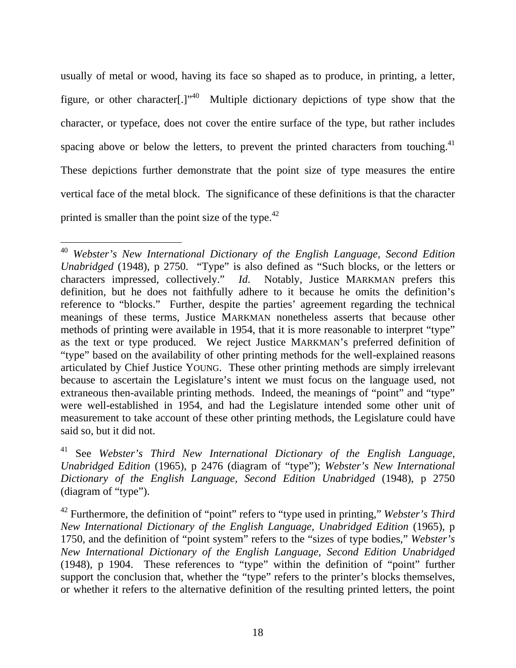usually of metal or wood, having its face so shaped as to produce, in printing, a letter, figure, or other character[.]<sup> $,40$ </sup> Multiple dictionary depictions of type show that the character, or typeface, does not cover the entire surface of the type, but rather includes spacing above or below the letters, to prevent the printed characters from touching.<sup>41</sup> These depictions further demonstrate that the point size of type measures the entire vertical face of the metal block. The significance of these definitions is that the character printed is smaller than the point size of the type. $42$ 

<sup>40</sup> *Webster's New International Dictionary of the English Language, Second Edition Unabridged* (1948), p 2750. "Type" is also defined as "Such blocks, or the letters or characters impressed, collectively." *Id*. Notably, Justice MARKMAN prefers this definition, but he does not faithfully adhere to it because he omits the definition's reference to "blocks." Further, despite the parties' agreement regarding the technical meanings of these terms, Justice MARKMAN nonetheless asserts that because other methods of printing were available in 1954, that it is more reasonable to interpret "type" as the text or type produced. We reject Justice MARKMAN's preferred definition of "type" based on the availability of other printing methods for the well-explained reasons articulated by Chief Justice YOUNG. These other printing methods are simply irrelevant because to ascertain the Legislature's intent we must focus on the language used, not extraneous then-available printing methods. Indeed, the meanings of "point" and "type" were well-established in 1954, and had the Legislature intended some other unit of measurement to take account of these other printing methods, the Legislature could have said so, but it did not.

<sup>41</sup> See *Webster's Third New International Dictionary of the English Language, Unabridged Edition* (1965), p 2476 (diagram of "type"); *Webster's New International Dictionary of the English Language, Second Edition Unabridged* (1948), p 2750 (diagram of "type").

<sup>42</sup> Furthermore, the definition of "point" refers to "type used in printing," *Webster's Third New International Dictionary of the English Language, Unabridged Edition* (1965), p 1750, and the definition of "point system" refers to the "sizes of type bodies," *Webster's New International Dictionary of the English Language, Second Edition Unabridged* (1948), p 1904. These references to "type" within the definition of "point" further support the conclusion that, whether the "type" refers to the printer's blocks themselves, or whether it refers to the alternative definition of the resulting printed letters, the point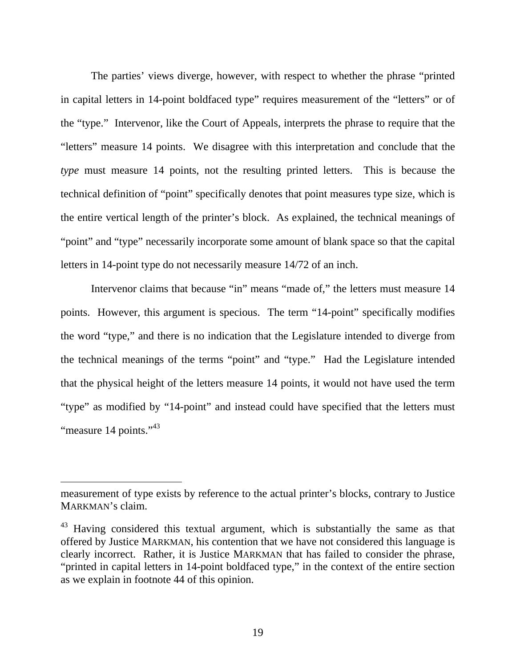The parties' views diverge, however, with respect to whether the phrase "printed in capital letters in 14-point boldfaced type" requires measurement of the "letters" or of the "type." Intervenor, like the Court of Appeals, interprets the phrase to require that the "letters" measure 14 points. We disagree with this interpretation and conclude that the *type* must measure 14 points, not the resulting printed letters. This is because the technical definition of "point" specifically denotes that point measures type size, which is the entire vertical length of the printer's block. As explained, the technical meanings of "point" and "type" necessarily incorporate some amount of blank space so that the capital letters in 14-point type do not necessarily measure 14/72 of an inch.

Intervenor claims that because "in" means "made of," the letters must measure 14 points. However, this argument is specious. The term "14-point" specifically modifies the word "type," and there is no indication that the Legislature intended to diverge from the technical meanings of the terms "point" and "type." Had the Legislature intended that the physical height of the letters measure 14 points, it would not have used the term "type" as modified by "14-point" and instead could have specified that the letters must "measure 14 points."<sup>43</sup>

measurement of type exists by reference to the actual printer's blocks, contrary to Justice MARKMAN's claim.

<sup>&</sup>lt;sup>43</sup> Having considered this textual argument, which is substantially the same as that offered by Justice MARKMAN, his contention that we have not considered this language is clearly incorrect. Rather, it is Justice MARKMAN that has failed to consider the phrase, "printed in capital letters in 14-point boldfaced type," in the context of the entire section as we explain in footnote 44 of this opinion.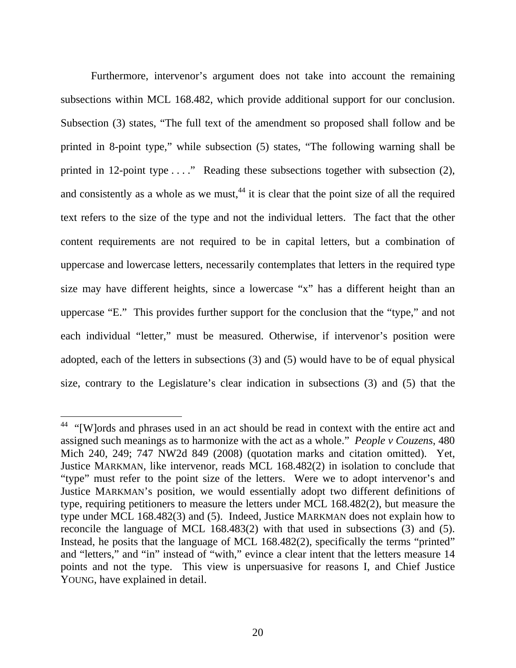Furthermore, intervenor's argument does not take into account the remaining subsections within MCL 168.482, which provide additional support for our conclusion. Subsection (3) states, "The full text of the amendment so proposed shall follow and be printed in 8-point type," while subsection (5) states, "The following warning shall be printed in 12-point type . . . ." Reading these subsections together with subsection (2), and consistently as a whole as we must,  $44$  it is clear that the point size of all the required text refers to the size of the type and not the individual letters. The fact that the other content requirements are not required to be in capital letters, but a combination of uppercase and lowercase letters, necessarily contemplates that letters in the required type size may have different heights, since a lowercase "x" has a different height than an uppercase "E." This provides further support for the conclusion that the "type," and not each individual "letter," must be measured. Otherwise, if intervenor's position were adopted, each of the letters in subsections (3) and (5) would have to be of equal physical size, contrary to the Legislature's clear indication in subsections (3) and (5) that the

<sup>&</sup>lt;sup>44</sup> "[W]ords and phrases used in an act should be read in context with the entire act and assigned such meanings as to harmonize with the act as a whole." *People v Couzens*, 480 Mich 240, 249; 747 NW2d 849 (2008) (quotation marks and citation omitted). Yet, Justice MARKMAN, like intervenor, reads MCL 168.482(2) in isolation to conclude that "type" must refer to the point size of the letters. Were we to adopt intervenor's and Justice MARKMAN's position, we would essentially adopt two different definitions of type, requiring petitioners to measure the letters under MCL 168.482(2), but measure the type under MCL 168.482(3) and (5). Indeed, Justice MARKMAN does not explain how to reconcile the language of MCL 168.483(2) with that used in subsections (3) and (5). Instead, he posits that the language of MCL 168.482(2), specifically the terms "printed" and "letters," and "in" instead of "with," evince a clear intent that the letters measure 14 points and not the type. This view is unpersuasive for reasons I, and Chief Justice YOUNG, have explained in detail.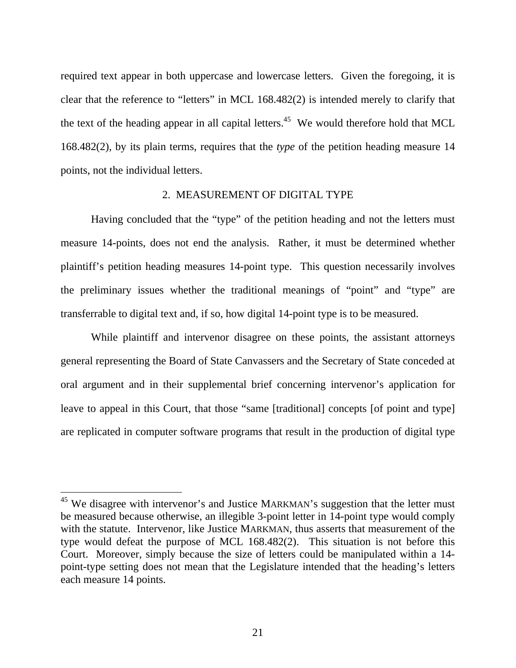required text appear in both uppercase and lowercase letters. Given the foregoing, it is clear that the reference to "letters" in MCL 168.482(2) is intended merely to clarify that the text of the heading appear in all capital letters.<sup>45</sup> We would therefore hold that MCL 168.482(2), by its plain terms, requires that the *type* of the petition heading measure 14 points, not the individual letters.

#### 2. MEASUREMENT OF DIGITAL TYPE

Having concluded that the "type" of the petition heading and not the letters must measure 14-points, does not end the analysis. Rather, it must be determined whether plaintiff's petition heading measures 14-point type. This question necessarily involves the preliminary issues whether the traditional meanings of "point" and "type" are transferrable to digital text and, if so, how digital 14-point type is to be measured.

 While plaintiff and intervenor disagree on these points, the assistant attorneys general representing the Board of State Canvassers and the Secretary of State conceded at oral argument and in their supplemental brief concerning intervenor's application for leave to appeal in this Court, that those "same [traditional] concepts [of point and type] are replicated in computer software programs that result in the production of digital type

<sup>&</sup>lt;sup>45</sup> We disagree with intervenor's and Justice MARKMAN's suggestion that the letter must be measured because otherwise, an illegible 3-point letter in 14-point type would comply with the statute. Intervenor, like Justice MARKMAN, thus asserts that measurement of the type would defeat the purpose of MCL 168.482(2). This situation is not before this Court. Moreover, simply because the size of letters could be manipulated within a 14 point-type setting does not mean that the Legislature intended that the heading's letters each measure 14 points.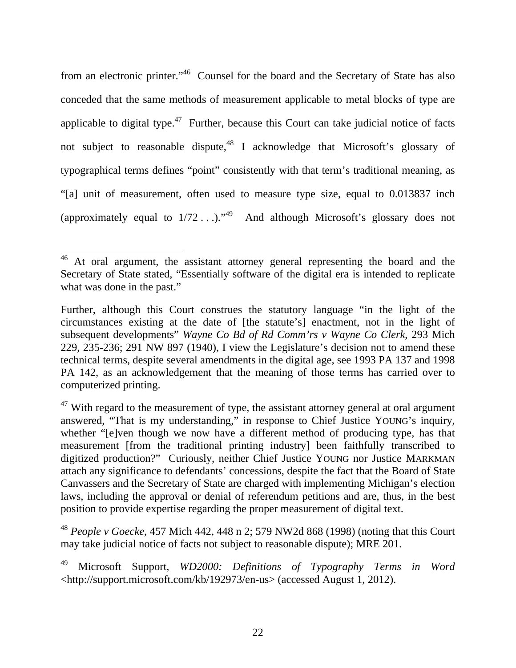from an electronic printer."<sup>46</sup> Counsel for the board and the Secretary of State has also conceded that the same methods of measurement applicable to metal blocks of type are applicable to digital type.<sup>47</sup> Further, because this Court can take judicial notice of facts not subject to reasonable dispute, $48$  I acknowledge that Microsoft's glossary of typographical terms defines "point" consistently with that term's traditional meaning, as "[a] unit of measurement, often used to measure type size, equal to 0.013837 inch (approximately equal to  $1/72$ ...)."<sup>49</sup> And although Microsoft's glossary does not

 $\overline{a}$ 

<sup>48</sup> *People v Goecke*, 457 Mich 442, 448 n 2; 579 NW2d 868 (1998) (noting that this Court may take judicial notice of facts not subject to reasonable dispute); MRE 201.

49 Microsoft Support, *WD2000: Definitions of Typography Terms in Word* <http://support.microsoft.com/kb/192973/en-us> (accessed August 1, 2012).

<sup>&</sup>lt;sup>46</sup> At oral argument, the assistant attorney general representing the board and the Secretary of State stated, "Essentially software of the digital era is intended to replicate what was done in the past."

Further, although this Court construes the statutory language "in the light of the circumstances existing at the date of [the statute's] enactment, not in the light of subsequent developments" *Wayne Co Bd of Rd Comm'rs v Wayne Co Clerk*, 293 Mich 229, 235-236; 291 NW 897 (1940), I view the Legislature's decision not to amend these technical terms, despite several amendments in the digital age, see 1993 PA 137 and 1998 PA 142, as an acknowledgement that the meaning of those terms has carried over to computerized printing.

 $47$  With regard to the measurement of type, the assistant attorney general at oral argument answered, "That is my understanding," in response to Chief Justice YOUNG's inquiry, whether "[e]ven though we now have a different method of producing type, has that measurement [from the traditional printing industry] been faithfully transcribed to digitized production?" Curiously, neither Chief Justice YOUNG nor Justice MARKMAN attach any significance to defendants' concessions, despite the fact that the Board of State Canvassers and the Secretary of State are charged with implementing Michigan's election laws, including the approval or denial of referendum petitions and are, thus, in the best position to provide expertise regarding the proper measurement of digital text.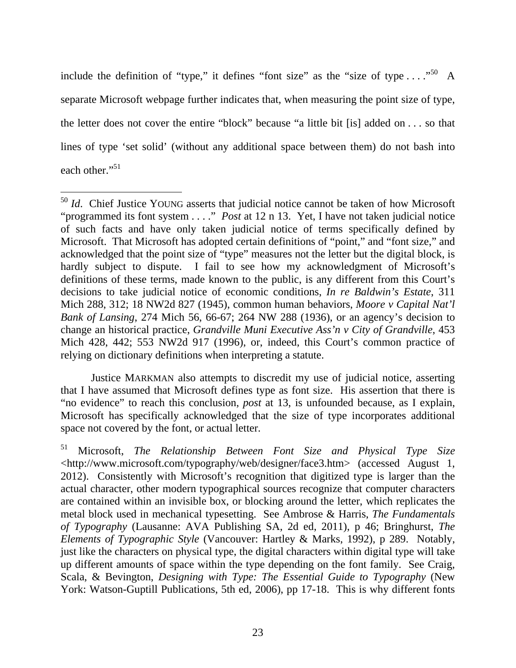include the definition of "type," it defines "font size" as the "size of type  $\dots$ ."<sup>50</sup> A separate Microsoft webpage further indicates that, when measuring the point size of type, the letter does not cover the entire "block" because "a little bit [is] added on . . . so that lines of type 'set solid' (without any additional space between them) do not bash into each other."<sup>51</sup>

 $\overline{a}$ 

Justice MARKMAN also attempts to discredit my use of judicial notice, asserting that I have assumed that Microsoft defines type as font size. His assertion that there is "no evidence" to reach this conclusion, *post* at 13, is unfounded because, as I explain, Microsoft has specifically acknowledged that the size of type incorporates additional space not covered by the font, or actual letter.

51 Microsoft, *The Relationship Between Font Size and Physical Type Size* <http://www.microsoft.com/typography/web/designer/face3.htm> (accessed August 1, 2012). Consistently with Microsoft's recognition that digitized type is larger than the actual character, other modern typographical sources recognize that computer characters are contained within an invisible box, or blocking around the letter, which replicates the metal block used in mechanical typesetting. See Ambrose & Harris, *The Fundamentals of Typography* (Lausanne: AVA Publishing SA, 2d ed, 2011), p 46; Bringhurst, *The Elements of Typographic Style* (Vancouver: Hartley & Marks, 1992), p 289. Notably, just like the characters on physical type, the digital characters within digital type will take up different amounts of space within the type depending on the font family. See Craig, Scala, & Bevington, *Designing with Type: The Essential Guide to Typography* (New York: Watson-Guptill Publications, 5th ed, 2006), pp 17-18. This is why different fonts

<sup>&</sup>lt;sup>50</sup> *Id.* Chief Justice YOUNG asserts that judicial notice cannot be taken of how Microsoft "programmed its font system . . . ." *Post* at 12 n 13. Yet, I have not taken judicial notice of such facts and have only taken judicial notice of terms specifically defined by Microsoft. That Microsoft has adopted certain definitions of "point," and "font size," and acknowledged that the point size of "type" measures not the letter but the digital block, is hardly subject to dispute. I fail to see how my acknowledgment of Microsoft's definitions of these terms, made known to the public, is any different from this Court's decisions to take judicial notice of economic conditions, *In re Baldwin's Estate*, 311 Mich 288, 312; 18 NW2d 827 (1945), common human behaviors, *Moore v Capital Nat'l Bank of Lansing*, 274 Mich 56, 66-67; 264 NW 288 (1936), or an agency's decision to change an historical practice, *Grandville Muni Executive Ass'n v City of Grandville*, 453 Mich 428, 442; 553 NW2d 917 (1996), or, indeed, this Court's common practice of relying on dictionary definitions when interpreting a statute.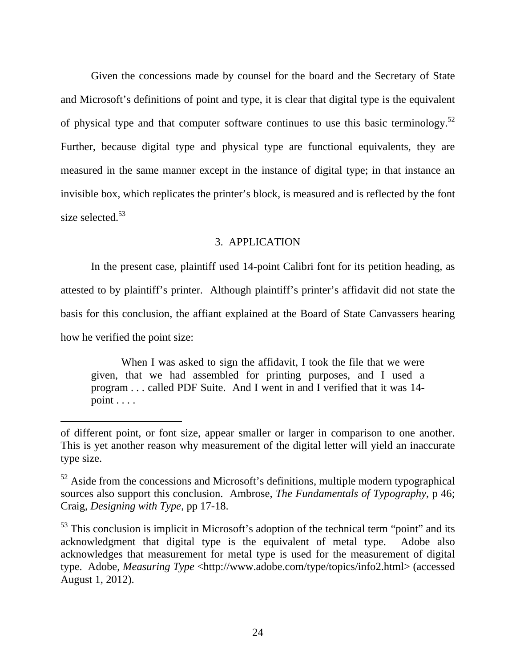Given the concessions made by counsel for the board and the Secretary of State and Microsoft's definitions of point and type, it is clear that digital type is the equivalent of physical type and that computer software continues to use this basic terminology.52 Further, because digital type and physical type are functional equivalents, they are measured in the same manner except in the instance of digital type; in that instance an invisible box, which replicates the printer's block, is measured and is reflected by the font size selected.<sup>53</sup>

## 3. APPLICATION

 In the present case, plaintiff used 14-point Calibri font for its petition heading, as attested to by plaintiff's printer. Although plaintiff's printer's affidavit did not state the basis for this conclusion, the affiant explained at the Board of State Canvassers hearing how he verified the point size:

When I was asked to sign the affidavit, I took the file that we were given, that we had assembled for printing purposes, and I used a program . . . called PDF Suite. And I went in and I verified that it was 14 point . . . .

of different point, or font size, appear smaller or larger in comparison to one another. This is yet another reason why measurement of the digital letter will yield an inaccurate type size.

 $52$  Aside from the concessions and Microsoft's definitions, multiple modern typographical sources also support this conclusion. Ambrose, *The Fundamentals of Typography*, p 46; Craig, *Designing with Type*, pp 17-18.

<sup>&</sup>lt;sup>53</sup> This conclusion is implicit in Microsoft's adoption of the technical term "point" and its acknowledgment that digital type is the equivalent of metal type. Adobe also acknowledges that measurement for metal type is used for the measurement of digital type. Adobe, *Measuring Type* <http://www.adobe.com/type/topics/info2.html> (accessed August 1, 2012).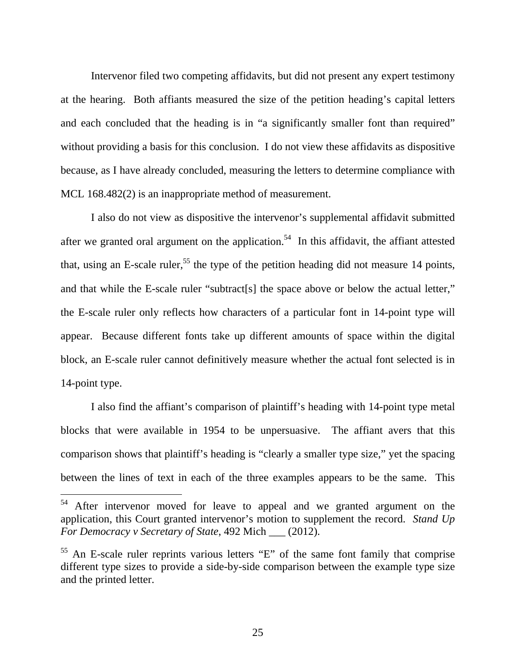Intervenor filed two competing affidavits, but did not present any expert testimony at the hearing. Both affiants measured the size of the petition heading's capital letters and each concluded that the heading is in "a significantly smaller font than required" without providing a basis for this conclusion. I do not view these affidavits as dispositive because, as I have already concluded, measuring the letters to determine compliance with MCL 168.482(2) is an inappropriate method of measurement.

 I also do not view as dispositive the intervenor's supplemental affidavit submitted after we granted oral argument on the application.<sup>54</sup> In this affidavit, the affiant attested that, using an E-scale ruler,<sup>55</sup> the type of the petition heading did not measure 14 points, and that while the E-scale ruler "subtract[s] the space above or below the actual letter," the E-scale ruler only reflects how characters of a particular font in 14-point type will appear. Because different fonts take up different amounts of space within the digital block, an E-scale ruler cannot definitively measure whether the actual font selected is in 14-point type.

 I also find the affiant's comparison of plaintiff's heading with 14-point type metal blocks that were available in 1954 to be unpersuasive. The affiant avers that this comparison shows that plaintiff's heading is "clearly a smaller type size," yet the spacing between the lines of text in each of the three examples appears to be the same. This

 $54$  After intervenor moved for leave to appeal and we granted argument on the application, this Court granted intervenor's motion to supplement the record. *Stand Up For Democracy v Secretary of State*, 492 Mich \_\_\_ (2012).

<sup>55</sup> An E-scale ruler reprints various letters "E" of the same font family that comprise different type sizes to provide a side-by-side comparison between the example type size and the printed letter.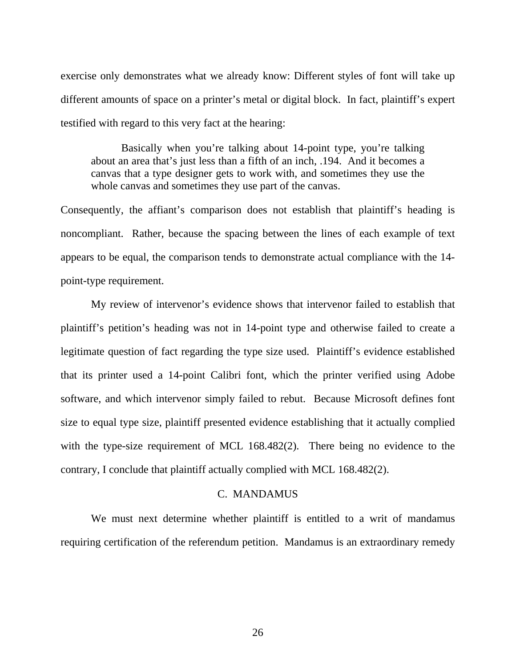exercise only demonstrates what we already know: Different styles of font will take up different amounts of space on a printer's metal or digital block. In fact, plaintiff's expert testified with regard to this very fact at the hearing:

 Basically when you're talking about 14-point type, you're talking about an area that's just less than a fifth of an inch, .194. And it becomes a canvas that a type designer gets to work with, and sometimes they use the whole canvas and sometimes they use part of the canvas.

Consequently, the affiant's comparison does not establish that plaintiff's heading is noncompliant. Rather, because the spacing between the lines of each example of text appears to be equal, the comparison tends to demonstrate actual compliance with the 14 point-type requirement.

 My review of intervenor's evidence shows that intervenor failed to establish that plaintiff's petition's heading was not in 14-point type and otherwise failed to create a legitimate question of fact regarding the type size used. Plaintiff's evidence established that its printer used a 14-point Calibri font, which the printer verified using Adobe software, and which intervenor simply failed to rebut. Because Microsoft defines font size to equal type size, plaintiff presented evidence establishing that it actually complied with the type-size requirement of MCL 168.482(2). There being no evidence to the contrary, I conclude that plaintiff actually complied with MCL 168.482(2).

#### C. MANDAMUS

We must next determine whether plaintiff is entitled to a writ of mandamus requiring certification of the referendum petition. Mandamus is an extraordinary remedy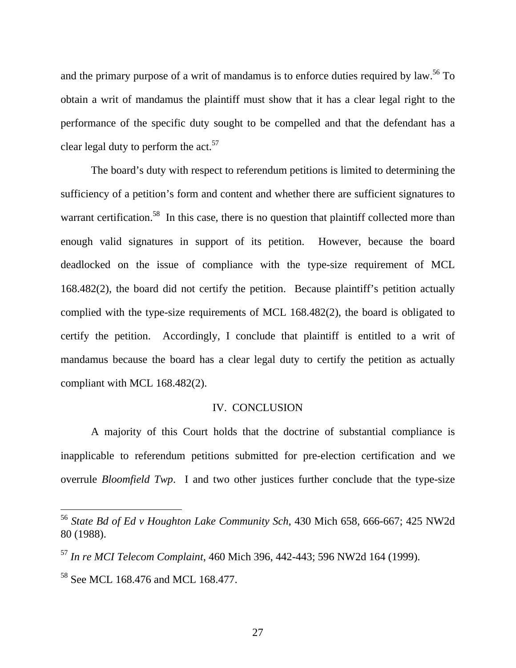and the primary purpose of a writ of mandamus is to enforce duties required by law.<sup>56</sup> To obtain a writ of mandamus the plaintiff must show that it has a clear legal right to the performance of the specific duty sought to be compelled and that the defendant has a clear legal duty to perform the  $act.^{57}$ .

The board's duty with respect to referendum petitions is limited to determining the sufficiency of a petition's form and content and whether there are sufficient signatures to warrant certification.<sup>58</sup> In this case, there is no question that plaintiff collected more than enough valid signatures in support of its petition. However, because the board deadlocked on the issue of compliance with the type-size requirement of MCL 168.482(2), the board did not certify the petition. Because plaintiff's petition actually complied with the type-size requirements of MCL 168.482(2), the board is obligated to certify the petition. Accordingly, I conclude that plaintiff is entitled to a writ of mandamus because the board has a clear legal duty to certify the petition as actually compliant with MCL 168.482(2).

#### IV. CONCLUSION

A majority of this Court holds that the doctrine of substantial compliance is inapplicable to referendum petitions submitted for pre-election certification and we overrule *Bloomfield Twp*. I and two other justices further conclude that the type-size

<sup>56</sup> *State Bd of Ed v Houghton Lake Community Sch*, 430 Mich 658, 666-667; 425 NW2d 80 (1988).

<sup>57</sup> *In re MCI Telecom Complaint*, 460 Mich 396, 442-443; 596 NW2d 164 (1999).

<sup>58</sup> See MCL 168.476 and MCL 168.477.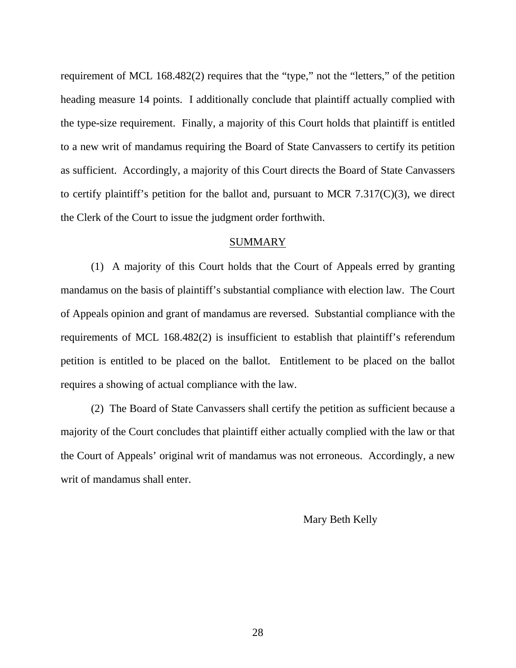requirement of MCL 168.482(2) requires that the "type," not the "letters," of the petition heading measure 14 points. I additionally conclude that plaintiff actually complied with the type-size requirement. Finally, a majority of this Court holds that plaintiff is entitled to a new writ of mandamus requiring the Board of State Canvassers to certify its petition as sufficient. Accordingly, a majority of this Court directs the Board of State Canvassers to certify plaintiff's petition for the ballot and, pursuant to MCR 7.317 $(C)(3)$ , we direct the Clerk of the Court to issue the judgment order forthwith.

#### SUMMARY

(1) A majority of this Court holds that the Court of Appeals erred by granting mandamus on the basis of plaintiff's substantial compliance with election law. The Court of Appeals opinion and grant of mandamus are reversed. Substantial compliance with the requirements of MCL 168.482(2) is insufficient to establish that plaintiff's referendum petition is entitled to be placed on the ballot. Entitlement to be placed on the ballot requires a showing of actual compliance with the law.

(2) The Board of State Canvassers shall certify the petition as sufficient because a majority of the Court concludes that plaintiff either actually complied with the law or that the Court of Appeals' original writ of mandamus was not erroneous. Accordingly, a new writ of mandamus shall enter.

Mary Beth Kelly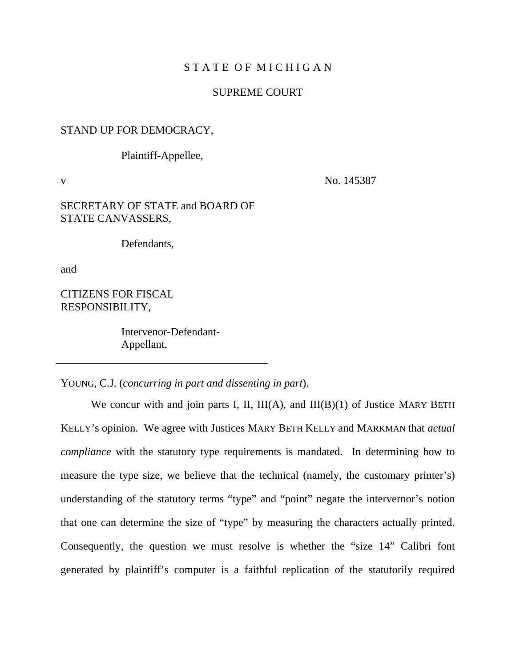#### STATE OF MICHIGAN

#### SUPREME COURT

#### STAND UP FOR DEMOCRACY,

Plaintiff-Appellee,

v No. 145387

#### SECRETARY OF STATE and BOARD OF STATE CANVASSERS,

Defendants,

and

CITIZENS FOR FISCAL RESPONSIBILITY,

> Intervenor-Defendant-Appellant.

YOUNG, C.J. (*concurring in part and dissenting in part*).

We concur with and join parts I, II,  $III(A)$ , and  $III(B)(1)$  of Justice MARY BETH KELLY's opinion. We agree with Justices MARY BETH KELLY and MARKMAN that *actual compliance* with the statutory type requirements is mandated. In determining how to measure the type size, we believe that the technical (namely, the customary printer's) understanding of the statutory terms "type" and "point" negate the intervernor's notion that one can determine the size of "type" by measuring the characters actually printed. Consequently, the question we must resolve is whether the "size 14" Calibri font generated by plaintiff's computer is a faithful replication of the statutorily required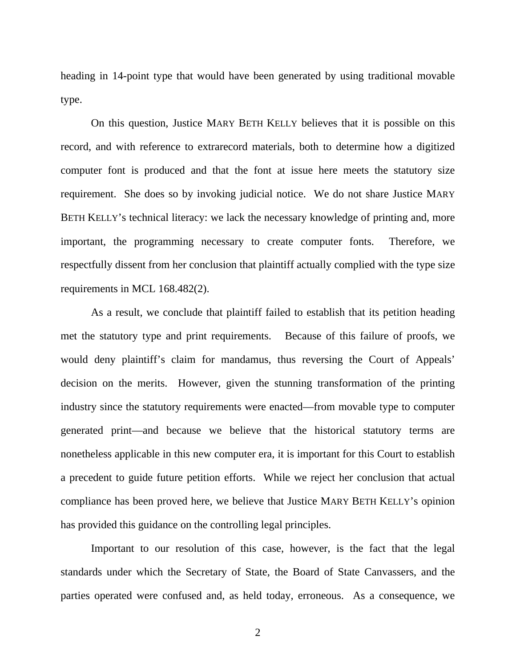heading in 14-point type that would have been generated by using traditional movable type.

On this question, Justice MARY BETH KELLY believes that it is possible on this record, and with reference to extrarecord materials, both to determine how a digitized computer font is produced and that the font at issue here meets the statutory size requirement. She does so by invoking judicial notice. We do not share Justice MARY BETH KELLY's technical literacy: we lack the necessary knowledge of printing and, more important, the programming necessary to create computer fonts. Therefore, we respectfully dissent from her conclusion that plaintiff actually complied with the type size requirements in MCL 168.482(2).

As a result, we conclude that plaintiff failed to establish that its petition heading met the statutory type and print requirements. Because of this failure of proofs, we would deny plaintiff's claim for mandamus, thus reversing the Court of Appeals' decision on the merits. However, given the stunning transformation of the printing industry since the statutory requirements were enacted—from movable type to computer generated print—and because we believe that the historical statutory terms are nonetheless applicable in this new computer era, it is important for this Court to establish a precedent to guide future petition efforts. While we reject her conclusion that actual compliance has been proved here, we believe that Justice MARY BETH KELLY's opinion has provided this guidance on the controlling legal principles.

Important to our resolution of this case, however, is the fact that the legal standards under which the Secretary of State, the Board of State Canvassers, and the parties operated were confused and, as held today, erroneous. As a consequence, we

2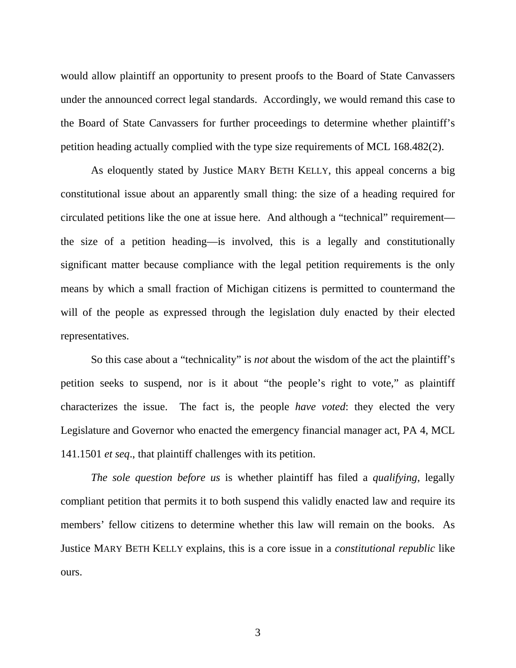would allow plaintiff an opportunity to present proofs to the Board of State Canvassers under the announced correct legal standards. Accordingly, we would remand this case to the Board of State Canvassers for further proceedings to determine whether plaintiff's petition heading actually complied with the type size requirements of MCL 168.482(2).

As eloquently stated by Justice MARY BETH KELLY, this appeal concerns a big constitutional issue about an apparently small thing: the size of a heading required for circulated petitions like the one at issue here. And although a "technical" requirement the size of a petition heading—is involved, this is a legally and constitutionally significant matter because compliance with the legal petition requirements is the only means by which a small fraction of Michigan citizens is permitted to countermand the will of the people as expressed through the legislation duly enacted by their elected representatives.

So this case about a "technicality" is *not* about the wisdom of the act the plaintiff's petition seeks to suspend, nor is it about "the people's right to vote," as plaintiff characterizes the issue. The fact is, the people *have voted*: they elected the very Legislature and Governor who enacted the emergency financial manager act, PA 4, MCL 141.1501 *et seq*., that plaintiff challenges with its petition.

*The sole question before us* is whether plaintiff has filed a *qualifying*, legally compliant petition that permits it to both suspend this validly enacted law and require its members' fellow citizens to determine whether this law will remain on the books. As Justice MARY BETH KELLY explains, this is a core issue in a *constitutional republic* like ours.

3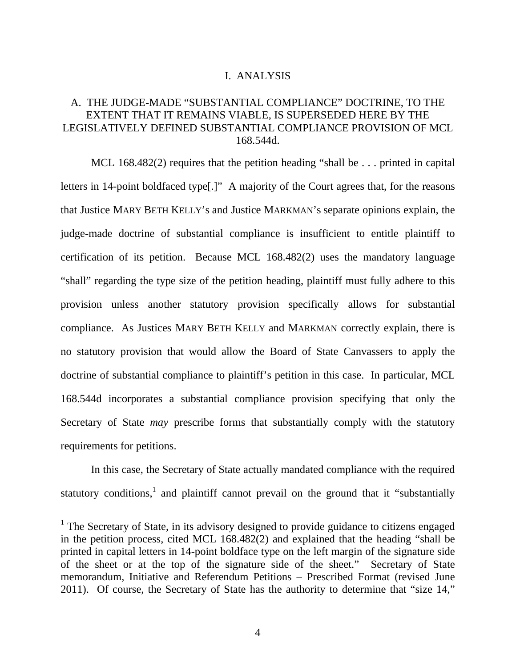#### I.ANALYSIS

# A. THE JUDGE-MADE "SUBSTANTIAL COMPLIANCE" DOCTRINE, TO THE EXTENT THAT IT REMAINS VIABLE, IS SUPERSEDED HERE BY THE LEGISLATIVELY DEFINED SUBSTANTIAL COMPLIANCE PROVISION OF MCL 168.544d.

MCL 168.482(2) requires that the petition heading "shall be . . . printed in capital letters in 14-point boldfaced type[.]" A majority of the Court agrees that, for the reasons that Justice MARY BETH KELLY's and Justice MARKMAN's separate opinions explain, the judge-made doctrine of substantial compliance is insufficient to entitle plaintiff to certification of its petition. Because MCL 168.482(2) uses the mandatory language "shall" regarding the type size of the petition heading, plaintiff must fully adhere to this provision unless another statutory provision specifically allows for substantial compliance. As Justices MARY BETH KELLY and MARKMAN correctly explain, there is no statutory provision that would allow the Board of State Canvassers to apply the doctrine of substantial compliance to plaintiff's petition in this case. In particular, MCL 168.544d incorporates a substantial compliance provision specifying that only the Secretary of State *may* prescribe forms that substantially comply with the statutory requirements for petitions.

In this case, the Secretary of State actually mandated compliance with the required statutory conditions,<sup>1</sup> and plaintiff cannot prevail on the ground that it "substantially

<sup>&</sup>lt;sup>1</sup> The Secretary of State, in its advisory designed to provide guidance to citizens engaged in the petition process, cited MCL 168.482(2) and explained that the heading "shall be printed in capital letters in 14-point boldface type on the left margin of the signature side of the sheet or at the top of the signature side of the sheet." Secretary of State memorandum, Initiative and Referendum Petitions – Prescribed Format (revised June 2011). Of course, the Secretary of State has the authority to determine that "size 14,"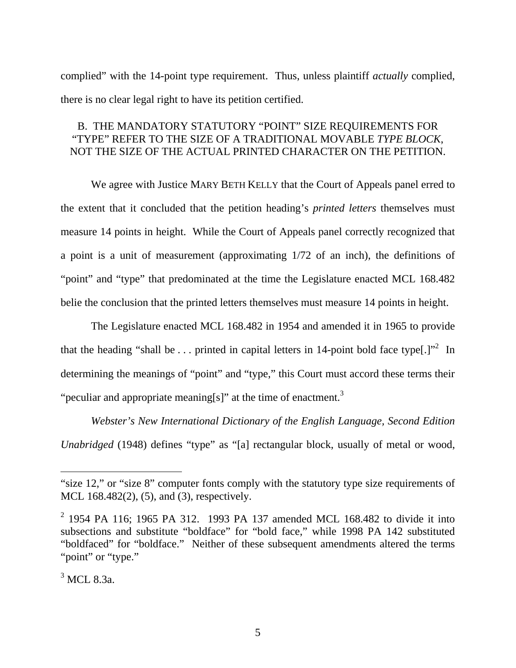complied" with the 14-point type requirement. Thus, unless plaintiff *actually* complied, there is no clear legal right to have its petition certified.

# B. THE MANDATORY STATUTORY "POINT" SIZE REQUIREMENTS FOR "TYPE" REFER TO THE SIZE OF A TRADITIONAL MOVABLE *TYPE BLOCK*, NOT THE SIZE OF THE ACTUAL PRINTED CHARACTER ON THE PETITION.

 We agree with Justice MARY BETH KELLY that the Court of Appeals panel erred to the extent that it concluded that the petition heading's *printed letters* themselves must measure 14 points in height. While the Court of Appeals panel correctly recognized that a point is a unit of measurement (approximating 1/72 of an inch), the definitions of "point" and "type" that predominated at the time the Legislature enacted MCL 168.482 belie the conclusion that the printed letters themselves must measure 14 points in height.

The Legislature enacted MCL 168.482 in 1954 and amended it in 1965 to provide that the heading "shall be ... printed in capital letters in 14-point bold face type[.]"<sup>2</sup> In determining the meanings of "point" and "type," this Court must accord these terms their "peculiar and appropriate meaning[s]" at the time of enactment.<sup>3</sup>

*Webster's New International Dictionary of the English Language, Second Edition Unabridged* (1948) defines "type" as "[a] rectangular block, usually of metal or wood,

<sup>&</sup>quot;size 12," or "size 8" computer fonts comply with the statutory type size requirements of MCL 168.482(2), (5), and (3), respectively.

<sup>&</sup>lt;sup>2</sup> 1954 PA 116; 1965 PA 312. 1993 PA 137 amended MCL 168.482 to divide it into subsections and substitute "boldface" for "bold face," while 1998 PA 142 substituted "boldfaced" for "boldface." Neither of these subsequent amendments altered the terms "point" or "type."

<sup>&</sup>lt;sup>3</sup> MCL 8.3a.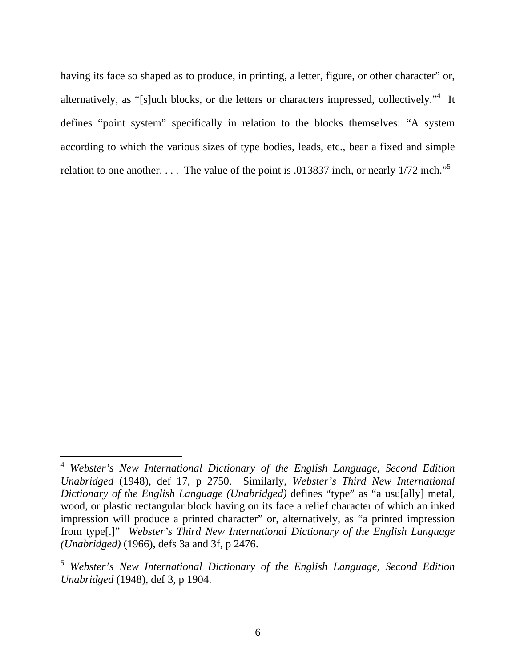having its face so shaped as to produce, in printing, a letter, figure, or other character" or, alternatively, as "[s]uch blocks, or the letters or characters impressed, collectively."<sup>4</sup> It defines "point system" specifically in relation to the blocks themselves: "A system according to which the various sizes of type bodies, leads, etc., bear a fixed and simple relation to one another. . . . The value of the point is .013837 inch, or nearly  $1/72$  inch."<sup>5</sup>

<sup>4</sup> *Webster's New International Dictionary of the English Language, Second Edition Unabridged* (1948), def 17, p 2750. Similarly, *Webster's Third New International Dictionary of the English Language (Unabridged)* defines "type" as "a usu[ally] metal, wood, or plastic rectangular block having on its face a relief character of which an inked impression will produce a printed character" or, alternatively, as "a printed impression from type[.]" *Webster's Third New International Dictionary of the English Language (Unabridged)* (1966), defs 3a and 3f, p 2476.

<sup>5</sup> *Webster's New International Dictionary of the English Language, Second Edition Unabridged* (1948), def 3, p 1904.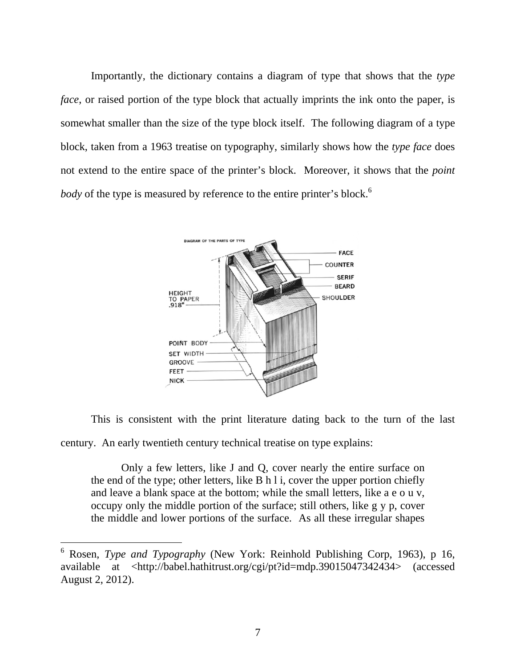Importantly, the dictionary contains a diagram of type that shows that the *type face*, or raised portion of the type block that actually imprints the ink onto the paper, is somewhat smaller than the size of the type block itself. The following diagram of a type block, taken from a 1963 treatise on typography, similarly shows how the *type face* does not extend to the entire space of the printer's block. Moreover, it shows that the *point body* of the type is measured by reference to the entire printer's block.<sup>6</sup>



This is consistent with the print literature dating back to the turn of the last century. An early twentieth century technical treatise on type explains:

Only a few letters, like J and Q, cover nearly the entire surface on the end of the type; other letters, like B h l i, cover the upper portion chiefly and leave a blank space at the bottom; while the small letters, like a e o u v, occupy only the middle portion of the surface; still others, like g y p, cover the middle and lower portions of the surface. As all these irregular shapes

<sup>6</sup> Rosen, *Type and Typography* (New York: Reinhold Publishing Corp, 1963), p 16, available at <http://babel.hathitrust.org/cgi/pt?id=mdp.39015047342434> (accessed August 2, 2012).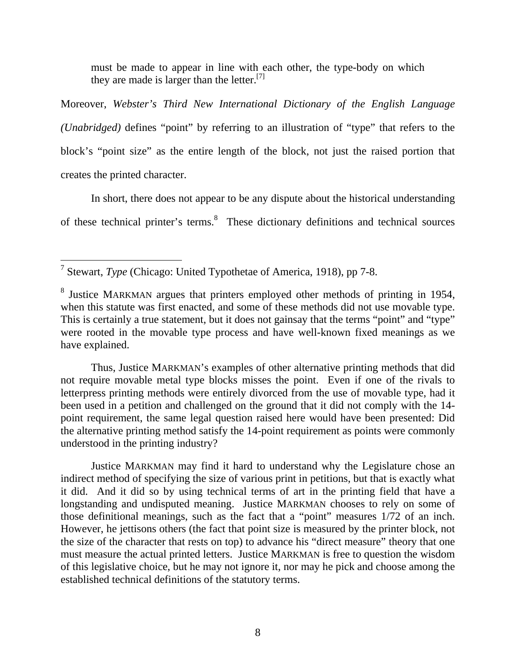must be made to appear in line with each other, the type-body on which they are made is larger than the letter.<sup>[7]</sup>

Moreover, *Webster's Third New International Dictionary of the English Language (Unabridged)* defines "point" by referring to an illustration of "type" that refers to the block's "point size" as the entire length of the block, not just the raised portion that creates the printed character.

 In short, there does not appear to be any dispute about the historical understanding of these technical printer's terms.<sup>8</sup> These dictionary definitions and technical sources

 Thus, Justice MARKMAN's examples of other alternative printing methods that did not require movable metal type blocks misses the point. Even if one of the rivals to letterpress printing methods were entirely divorced from the use of movable type, had it been used in a petition and challenged on the ground that it did not comply with the 14 point requirement, the same legal question raised here would have been presented: Did the alternative printing method satisfy the 14-point requirement as points were commonly understood in the printing industry?

 Justice MARKMAN may find it hard to understand why the Legislature chose an indirect method of specifying the size of various print in petitions, but that is exactly what it did. And it did so by using technical terms of art in the printing field that have a longstanding and undisputed meaning. Justice MARKMAN chooses to rely on some of those definitional meanings, such as the fact that a "point" measures 1/72 of an inch. However, he jettisons others (the fact that point size is measured by the printer block, not the size of the character that rests on top) to advance his "direct measure" theory that one must measure the actual printed letters. Justice MARKMAN is free to question the wisdom of this legislative choice, but he may not ignore it, nor may he pick and choose among the established technical definitions of the statutory terms.

 $\overline{a}$ 7 Stewart, *Type* (Chicago: United Typothetae of America, 1918), pp 7-8.

<sup>&</sup>lt;sup>8</sup> Justice MARKMAN argues that printers employed other methods of printing in 1954, when this statute was first enacted, and some of these methods did not use movable type. This is certainly a true statement, but it does not gainsay that the terms "point" and "type" were rooted in the movable type process and have well-known fixed meanings as we have explained.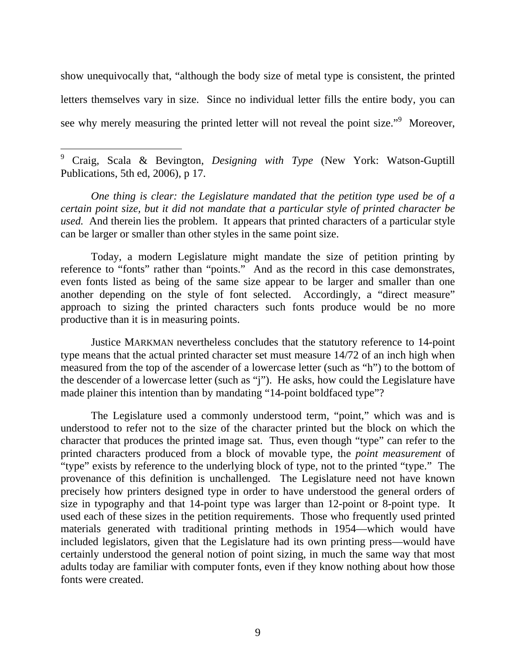show unequivocally that, "although the body size of metal type is consistent, the printed letters themselves vary in size. Since no individual letter fills the entire body, you can see why merely measuring the printed letter will not reveal the point size."<sup>9</sup> Moreover,

9 Craig, Scala & Bevington, *Designing with Type* (New York: Watson-Guptill Publications, 5th ed, 2006), p 17.

 $\overline{a}$ 

*One thing is clear: the Legislature mandated that the petition type used be of a certain point size, but it did not mandate that a particular style of printed character be used.* And therein lies the problem. It appears that printed characters of a particular style can be larger or smaller than other styles in the same point size.

Today, a modern Legislature might mandate the size of petition printing by reference to "fonts" rather than "points." And as the record in this case demonstrates, even fonts listed as being of the same size appear to be larger and smaller than one another depending on the style of font selected. Accordingly, a "direct measure" approach to sizing the printed characters such fonts produce would be no more productive than it is in measuring points.

Justice MARKMAN nevertheless concludes that the statutory reference to 14-point type means that the actual printed character set must measure 14/72 of an inch high when measured from the top of the ascender of a lowercase letter (such as "h") to the bottom of the descender of a lowercase letter (such as "j"). He asks, how could the Legislature have made plainer this intention than by mandating "14-point boldfaced type"?

 The Legislature used a commonly understood term, "point," which was and is understood to refer not to the size of the character printed but the block on which the character that produces the printed image sat. Thus, even though "type" can refer to the printed characters produced from a block of movable type, the *point measurement* of "type" exists by reference to the underlying block of type, not to the printed "type." The provenance of this definition is unchallenged. The Legislature need not have known precisely how printers designed type in order to have understood the general orders of size in typography and that 14-point type was larger than 12-point or 8-point type. It used each of these sizes in the petition requirements. Those who frequently used printed materials generated with traditional printing methods in 1954—which would have included legislators, given that the Legislature had its own printing press—would have certainly understood the general notion of point sizing, in much the same way that most adults today are familiar with computer fonts, even if they know nothing about how those fonts were created.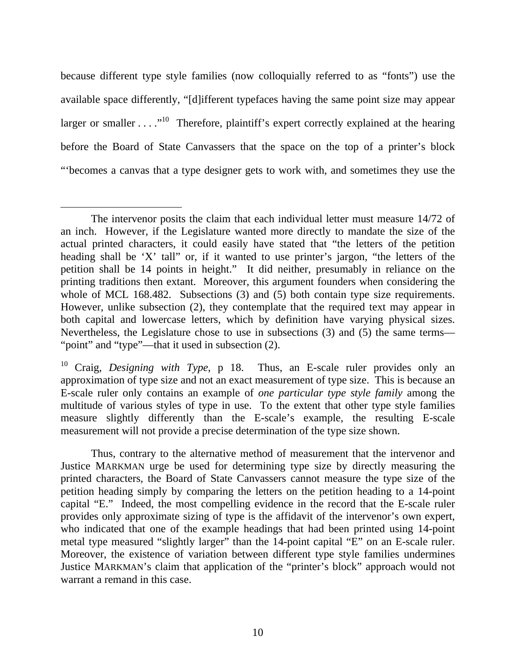because different type style families (now colloquially referred to as "fonts") use the available space differently, "[d]ifferent typefaces having the same point size may appear larger or smaller  $\dots$   $\cdot$  <sup>10</sup>. Therefore, plaintiff's expert correctly explained at the hearing before the Board of State Canvassers that the space on the top of a printer's block "'becomes a canvas that a type designer gets to work with, and sometimes they use the

 Thus, contrary to the alternative method of measurement that the intervenor and Justice MARKMAN urge be used for determining type size by directly measuring the printed characters, the Board of State Canvassers cannot measure the type size of the petition heading simply by comparing the letters on the petition heading to a 14-point capital "E." Indeed, the most compelling evidence in the record that the E-scale ruler provides only approximate sizing of type is the affidavit of the intervenor's own expert, who indicated that one of the example headings that had been printed using 14-point metal type measured "slightly larger" than the 14-point capital "E" on an E-scale ruler. Moreover, the existence of variation between different type style families undermines Justice MARKMAN's claim that application of the "printer's block" approach would not warrant a remand in this case.

 $\overline{a}$  The intervenor posits the claim that each individual letter must measure 14/72 of an inch. However, if the Legislature wanted more directly to mandate the size of the actual printed characters, it could easily have stated that "the letters of the petition heading shall be 'X' tall" or, if it wanted to use printer's jargon, "the letters of the petition shall be 14 points in height." It did neither, presumably in reliance on the printing traditions then extant. Moreover, this argument founders when considering the whole of MCL 168.482. Subsections (3) and (5) both contain type size requirements. However, unlike subsection (2), they contemplate that the required text may appear in both capital and lowercase letters, which by definition have varying physical sizes. Nevertheless, the Legislature chose to use in subsections (3) and (5) the same terms— "point" and "type"—that it used in subsection (2).

<sup>10</sup> Craig, *Designing with Type*, p 18. Thus, an E-scale ruler provides only an approximation of type size and not an exact measurement of type size. This is because an E-scale ruler only contains an example of *one particular type style family* among the multitude of various styles of type in use. To the extent that other type style families measure slightly differently than the E-scale's example, the resulting E-scale measurement will not provide a precise determination of the type size shown.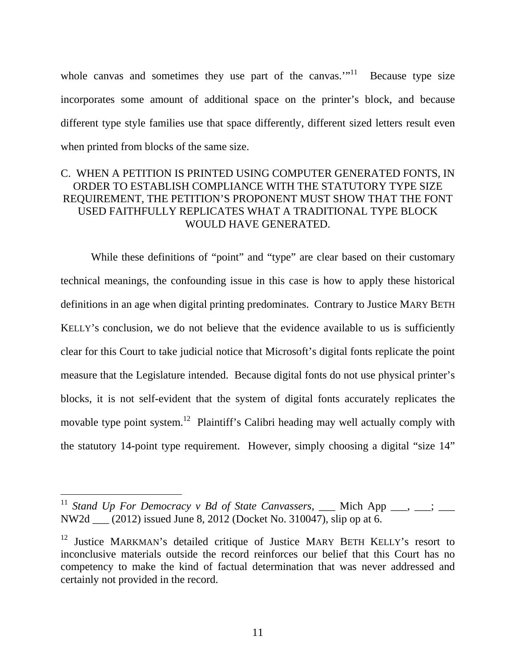whole canvas and sometimes they use part of the canvas."<sup>11</sup> Because type size incorporates some amount of additional space on the printer's block, and because different type style families use that space differently, different sized letters result even when printed from blocks of the same size.

# C. WHEN A PETITION IS PRINTED USING COMPUTER GENERATED FONTS, IN ORDER TO ESTABLISH COMPLIANCE WITH THE STATUTORY TYPE SIZE REQUIREMENT, THE PETITION'S PROPONENT MUST SHOW THAT THE FONT USED FAITHFULLY REPLICATES WHAT A TRADITIONAL TYPE BLOCK WOULD HAVE GENERATED.

While these definitions of "point" and "type" are clear based on their customary technical meanings, the confounding issue in this case is how to apply these historical definitions in an age when digital printing predominates. Contrary to Justice MARY BETH KELLY's conclusion, we do not believe that the evidence available to us is sufficiently clear for this Court to take judicial notice that Microsoft's digital fonts replicate the point measure that the Legislature intended. Because digital fonts do not use physical printer's blocks, it is not self-evident that the system of digital fonts accurately replicates the movable type point system.<sup>12</sup> Plaintiff's Calibri heading may well actually comply with the statutory 14-point type requirement. However, simply choosing a digital "size 14"

<sup>&</sup>lt;sup>11</sup> Stand Up For Democracy v Bd of State Canvassers, \_\_\_ Mich App \_\_\_, \_\_; \_\_\_ NW2d \_\_\_ (2012) issued June 8, 2012 (Docket No. 310047), slip op at 6.

<sup>&</sup>lt;sup>12</sup> Justice MARKMAN's detailed critique of Justice MARY BETH KELLY's resort to inconclusive materials outside the record reinforces our belief that this Court has no competency to make the kind of factual determination that was never addressed and certainly not provided in the record.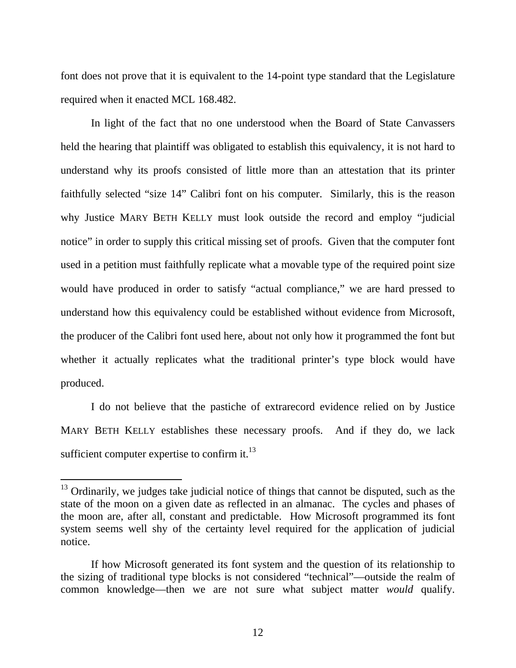font does not prove that it is equivalent to the 14-point type standard that the Legislature required when it enacted MCL 168.482.

In light of the fact that no one understood when the Board of State Canvassers held the hearing that plaintiff was obligated to establish this equivalency, it is not hard to understand why its proofs consisted of little more than an attestation that its printer faithfully selected "size 14" Calibri font on his computer. Similarly, this is the reason why Justice MARY BETH KELLY must look outside the record and employ "judicial notice" in order to supply this critical missing set of proofs. Given that the computer font used in a petition must faithfully replicate what a movable type of the required point size would have produced in order to satisfy "actual compliance," we are hard pressed to understand how this equivalency could be established without evidence from Microsoft, the producer of the Calibri font used here, about not only how it programmed the font but whether it actually replicates what the traditional printer's type block would have produced.

I do not believe that the pastiche of extrarecord evidence relied on by Justice MARY BETH KELLY establishes these necessary proofs. And if they do, we lack sufficient computer expertise to confirm it. $^{13}$ 

 $13$  Ordinarily, we judges take judicial notice of things that cannot be disputed, such as the state of the moon on a given date as reflected in an almanac. The cycles and phases of the moon are, after all, constant and predictable. How Microsoft programmed its font system seems well shy of the certainty level required for the application of judicial notice.

If how Microsoft generated its font system and the question of its relationship to the sizing of traditional type blocks is not considered "technical"—outside the realm of common knowledge—then we are not sure what subject matter *would* qualify.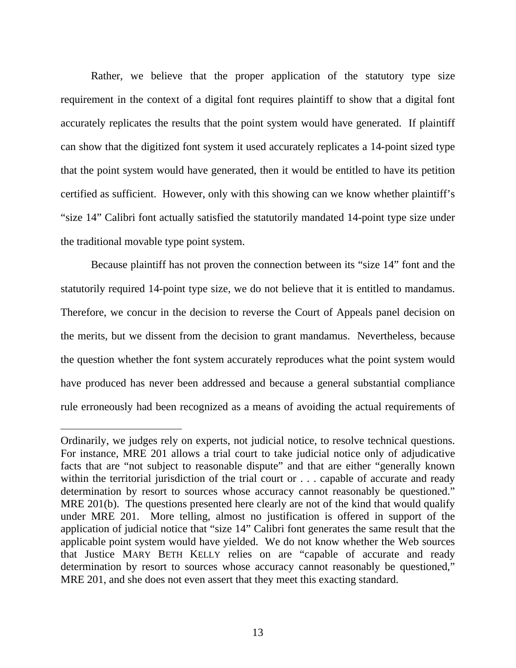Rather, we believe that the proper application of the statutory type size requirement in the context of a digital font requires plaintiff to show that a digital font accurately replicates the results that the point system would have generated. If plaintiff can show that the digitized font system it used accurately replicates a 14-point sized type that the point system would have generated, then it would be entitled to have its petition certified as sufficient. However, only with this showing can we know whether plaintiff's "size 14" Calibri font actually satisfied the statutorily mandated 14-point type size under the traditional movable type point system.

Because plaintiff has not proven the connection between its "size 14" font and the statutorily required 14-point type size, we do not believe that it is entitled to mandamus. Therefore, we concur in the decision to reverse the Court of Appeals panel decision on the merits, but we dissent from the decision to grant mandamus. Nevertheless, because the question whether the font system accurately reproduces what the point system would have produced has never been addressed and because a general substantial compliance rule erroneously had been recognized as a means of avoiding the actual requirements of

Ordinarily, we judges rely on experts, not judicial notice, to resolve technical questions. For instance, MRE 201 allows a trial court to take judicial notice only of adjudicative facts that are "not subject to reasonable dispute" and that are either "generally known within the territorial jurisdiction of the trial court or . . . capable of accurate and ready determination by resort to sources whose accuracy cannot reasonably be questioned." MRE 201(b). The questions presented here clearly are not of the kind that would qualify under MRE 201. More telling, almost no justification is offered in support of the application of judicial notice that "size 14" Calibri font generates the same result that the applicable point system would have yielded. We do not know whether the Web sources that Justice MARY BETH KELLY relies on are "capable of accurate and ready determination by resort to sources whose accuracy cannot reasonably be questioned," MRE 201, and she does not even assert that they meet this exacting standard.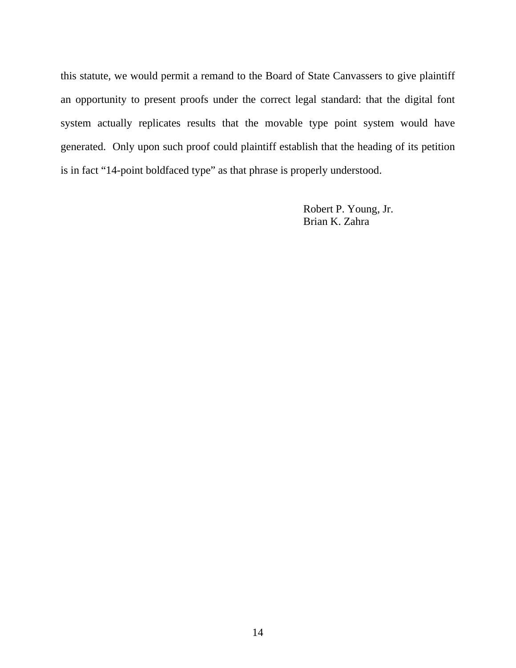this statute, we would permit a remand to the Board of State Canvassers to give plaintiff an opportunity to present proofs under the correct legal standard: that the digital font system actually replicates results that the movable type point system would have generated. Only upon such proof could plaintiff establish that the heading of its petition is in fact "14-point boldfaced type" as that phrase is properly understood.

> Robert P. Young, Jr. Brian K. Zahra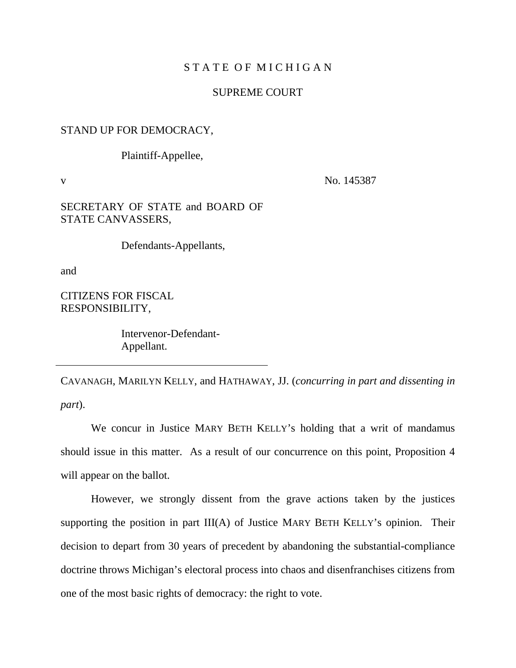#### STATE OF MICHIGAN

#### SUPREME COURT

#### STAND UP FOR DEMOCRACY,

Plaintiff-Appellee,

v No. 145387

#### SECRETARY OF STATE and BOARD OF STATE CANVASSERS,

Defendants-Appellants,

and

CITIZENS FOR FISCAL RESPONSIBILITY,

> Intervenor-Defendant-Appellant.

CAVANAGH, MARILYN KELLY, and HATHAWAY, JJ. (*concurring in part and dissenting in part*).

We concur in Justice MARY BETH KELLY's holding that a writ of mandamus should issue in this matter. As a result of our concurrence on this point, Proposition 4 will appear on the ballot.

However, we strongly dissent from the grave actions taken by the justices supporting the position in part III(A) of Justice MARY BETH KELLY's opinion. Their decision to depart from 30 years of precedent by abandoning the substantial-compliance doctrine throws Michigan's electoral process into chaos and disenfranchises citizens from one of the most basic rights of democracy: the right to vote.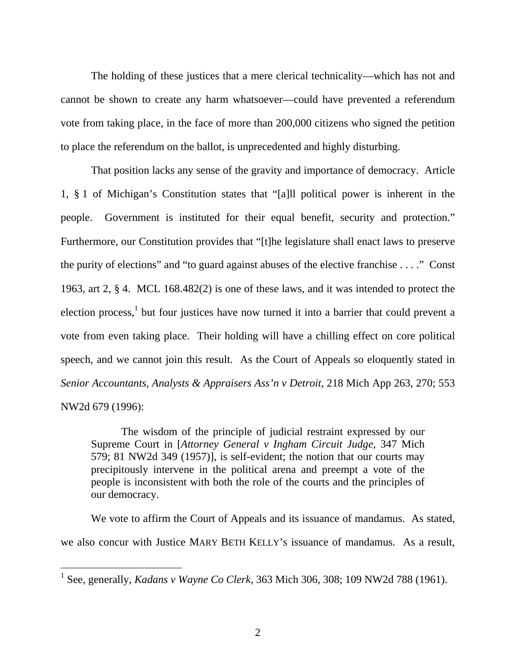The holding of these justices that a mere clerical technicality—which has not and cannot be shown to create any harm whatsoever—could have prevented a referendum vote from taking place, in the face of more than 200,000 citizens who signed the petition to place the referendum on the ballot, is unprecedented and highly disturbing.

That position lacks any sense of the gravity and importance of democracy. Article 1, § 1 of Michigan's Constitution states that "[a]ll political power is inherent in the people. Government is instituted for their equal benefit, security and protection." Furthermore, our Constitution provides that "[t]he legislature shall enact laws to preserve the purity of elections" and "to guard against abuses of the elective franchise . . . ." Const 1963, art 2, § 4. MCL 168.482(2) is one of these laws, and it was intended to protect the election process,<sup>1</sup> but four justices have now turned it into a barrier that could prevent a vote from even taking place. Their holding will have a chilling effect on core political speech, and we cannot join this result. As the Court of Appeals so eloquently stated in *Senior Accountants, Analysts & Appraisers Ass'n v Detroit, 218 Mich App 263, 270; 553* NW2d 679 (1996):

The wisdom of the principle of judicial restraint expressed by our Supreme Court in [*Attorney General v Ingham Circuit Judge*, 347 Mich 579; 81 NW2d 349 (1957)], is self-evident; the notion that our courts may precipitously intervene in the political arena and preempt a vote of the people is inconsistent with both the role of the courts and the principles of our democracy.

We vote to affirm the Court of Appeals and its issuance of mandamus. As stated, we also concur with Justice MARY BETH KELLY's issuance of mandamus. As a result,

<sup>&</sup>lt;sup>1</sup> See, generally, *Kadans v Wayne Co Clerk*, 363 Mich 306, 308; 109 NW2d 788 (1961).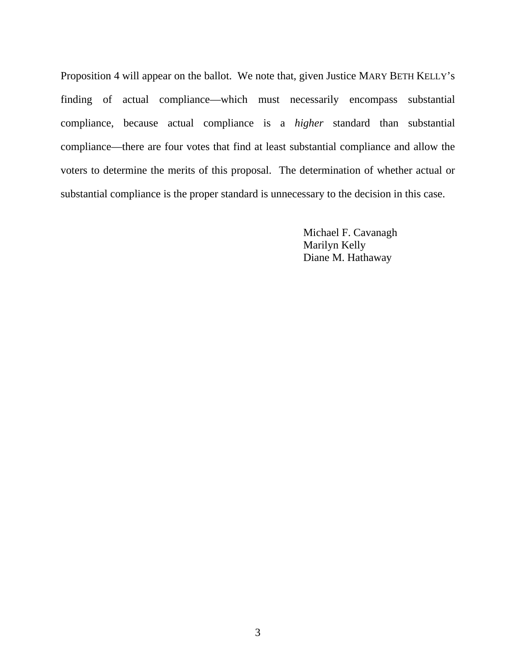Proposition 4 will appear on the ballot. We note that, given Justice MARY BETH KELLY's finding of actual compliance—which must necessarily encompass substantial compliance, because actual compliance is a *higher* standard than substantial compliance—there are four votes that find at least substantial compliance and allow the voters to determine the merits of this proposal. The determination of whether actual or substantial compliance is the proper standard is unnecessary to the decision in this case.

> Michael F. Cavanagh Marilyn Kelly Diane M. Hathaway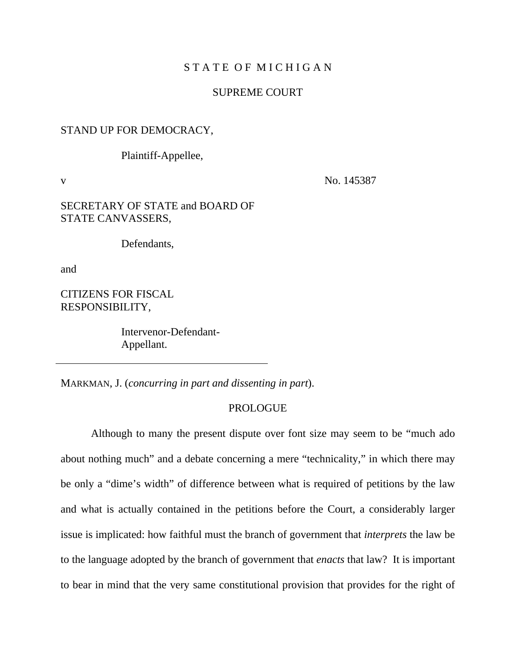#### STATE OF MICHIGAN

#### SUPREME COURT

#### STAND UP FOR DEMOCRACY,

Plaintiff-Appellee,

v No. 145387

#### SECRETARY OF STATE and BOARD OF STATE CANVASSERS,

Defendants,

and

CITIZENS FOR FISCAL RESPONSIBILITY,

> Intervenor-Defendant- Appellant.

MARKMAN, J. (*concurring in part and dissenting in part*).

#### PROLOGUE

Although to many the present dispute over font size may seem to be "much ado about nothing much" and a debate concerning a mere "technicality," in which there may be only a "dime's width" of difference between what is required of petitions by the law and what is actually contained in the petitions before the Court, a considerably larger issue is implicated: how faithful must the branch of government that *interprets* the law be to the language adopted by the branch of government that *enacts* that law? It is important to bear in mind that the very same constitutional provision that provides for the right of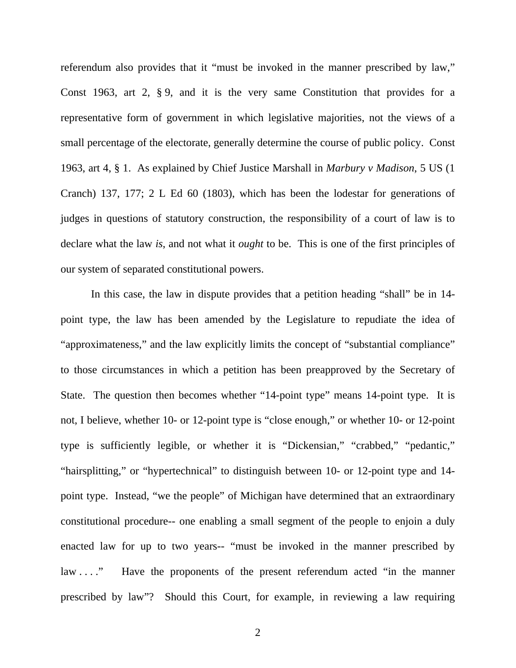referendum also provides that it "must be invoked in the manner prescribed by law," Const 1963, art 2, § 9, and it is the very same Constitution that provides for a representative form of government in which legislative majorities, not the views of a small percentage of the electorate, generally determine the course of public policy. Const 1963, art 4, § 1. As explained by Chief Justice Marshall in *Marbury v Madison*, 5 US (1 Cranch) 137, 177; 2 L Ed 60 (1803), which has been the lodestar for generations of judges in questions of statutory construction, the responsibility of a court of law is to declare what the law *is*, and not what it *ought* to be. This is one of the first principles of our system of separated constitutional powers.

In this case, the law in dispute provides that a petition heading "shall" be in 14 point type, the law has been amended by the Legislature to repudiate the idea of "approximateness," and the law explicitly limits the concept of "substantial compliance" to those circumstances in which a petition has been preapproved by the Secretary of State. The question then becomes whether "14-point type" means 14-point type. It is not, I believe, whether 10- or 12-point type is "close enough," or whether 10- or 12-point type is sufficiently legible, or whether it is "Dickensian," "crabbed," "pedantic," "hairsplitting," or "hypertechnical" to distinguish between 10- or 12-point type and 14 point type. Instead, "we the people" of Michigan have determined that an extraordinary constitutional procedure-- one enabling a small segment of the people to enjoin a duly enacted law for up to two years-- "must be invoked in the manner prescribed by law . . . . " Have the proponents of the present referendum acted "in the manner" prescribed by law"? Should this Court, for example, in reviewing a law requiring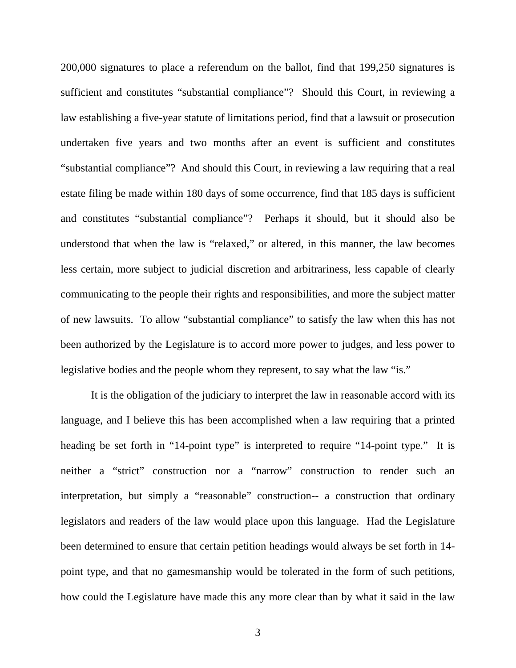200,000 signatures to place a referendum on the ballot, find that 199,250 signatures is sufficient and constitutes "substantial compliance"? Should this Court, in reviewing a law establishing a five-year statute of limitations period, find that a lawsuit or prosecution undertaken five years and two months after an event is sufficient and constitutes "substantial compliance"? And should this Court, in reviewing a law requiring that a real estate filing be made within 180 days of some occurrence, find that 185 days is sufficient and constitutes "substantial compliance"? Perhaps it should, but it should also be understood that when the law is "relaxed," or altered, in this manner, the law becomes less certain, more subject to judicial discretion and arbitrariness, less capable of clearly communicating to the people their rights and responsibilities, and more the subject matter of new lawsuits. To allow "substantial compliance" to satisfy the law when this has not been authorized by the Legislature is to accord more power to judges, and less power to legislative bodies and the people whom they represent, to say what the law "is."

It is the obligation of the judiciary to interpret the law in reasonable accord with its language, and I believe this has been accomplished when a law requiring that a printed heading be set forth in "14-point type" is interpreted to require "14-point type." It is neither a "strict" construction nor a "narrow" construction to render such an interpretation, but simply a "reasonable" construction-- a construction that ordinary legislators and readers of the law would place upon this language. Had the Legislature been determined to ensure that certain petition headings would always be set forth in 14 point type, and that no gamesmanship would be tolerated in the form of such petitions, how could the Legislature have made this any more clear than by what it said in the law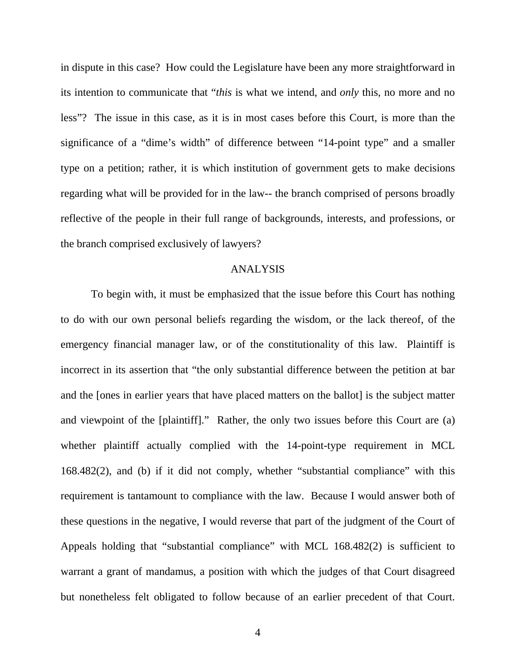in dispute in this case? How could the Legislature have been any more straightforward in its intention to communicate that "*this* is what we intend, and *only* this, no more and no less"? The issue in this case, as it is in most cases before this Court, is more than the significance of a "dime's width" of difference between "14-point type" and a smaller type on a petition; rather, it is which institution of government gets to make decisions regarding what will be provided for in the law-- the branch comprised of persons broadly reflective of the people in their full range of backgrounds, interests, and professions, or the branch comprised exclusively of lawyers?

#### ANALYSIS

To begin with, it must be emphasized that the issue before this Court has nothing to do with our own personal beliefs regarding the wisdom, or the lack thereof, of the emergency financial manager law, or of the constitutionality of this law. Plaintiff is incorrect in its assertion that "the only substantial difference between the petition at bar and the [ones in earlier years that have placed matters on the ballot] is the subject matter and viewpoint of the [plaintiff]." Rather, the only two issues before this Court are (a) whether plaintiff actually complied with the 14-point-type requirement in MCL 168.482(2), and (b) if it did not comply, whether "substantial compliance" with this requirement is tantamount to compliance with the law. Because I would answer both of these questions in the negative, I would reverse that part of the judgment of the Court of Appeals holding that "substantial compliance" with MCL 168.482(2) is sufficient to warrant a grant of mandamus, a position with which the judges of that Court disagreed but nonetheless felt obligated to follow because of an earlier precedent of that Court.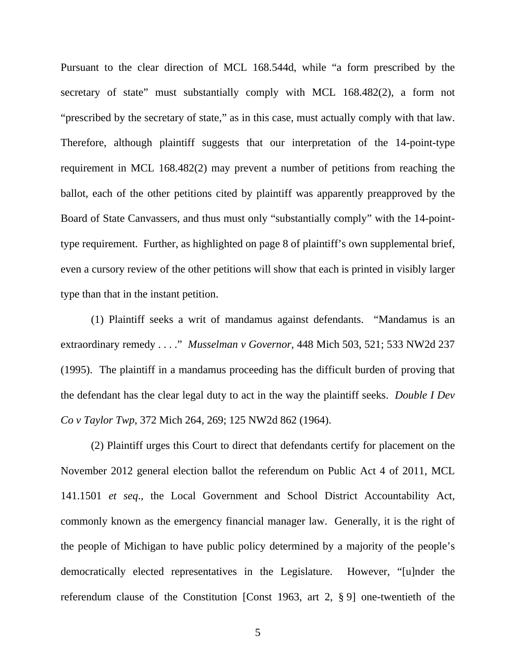Pursuant to the clear direction of MCL 168.544d, while "a form prescribed by the secretary of state" must substantially comply with MCL 168.482(2), a form not "prescribed by the secretary of state," as in this case, must actually comply with that law. Therefore, although plaintiff suggests that our interpretation of the 14-point-type requirement in MCL 168.482(2) may prevent a number of petitions from reaching the ballot, each of the other petitions cited by plaintiff was apparently preapproved by the Board of State Canvassers, and thus must only "substantially comply" with the 14-pointtype requirement. Further, as highlighted on page 8 of plaintiff's own supplemental brief, even a cursory review of the other petitions will show that each is printed in visibly larger type than that in the instant petition.

(1) Plaintiff seeks a writ of mandamus against defendants. "Mandamus is an extraordinary remedy . . . ." *Musselman v Governor*, 448 Mich 503, 521; 533 NW2d 237 (1995). The plaintiff in a mandamus proceeding has the difficult burden of proving that the defendant has the clear legal duty to act in the way the plaintiff seeks. *Double I Dev Co v Taylor Twp*, 372 Mich 264, 269; 125 NW2d 862 (1964).

(2) Plaintiff urges this Court to direct that defendants certify for placement on the November 2012 general election ballot the referendum on Public Act 4 of 2011, MCL 141.1501 *et seq*., the Local Government and School District Accountability Act, commonly known as the emergency financial manager law. Generally, it is the right of the people of Michigan to have public policy determined by a majority of the people's democratically elected representatives in the Legislature. However, "[u]nder the referendum clause of the Constitution [Const 1963, art 2, § 9] one-twentieth of the

5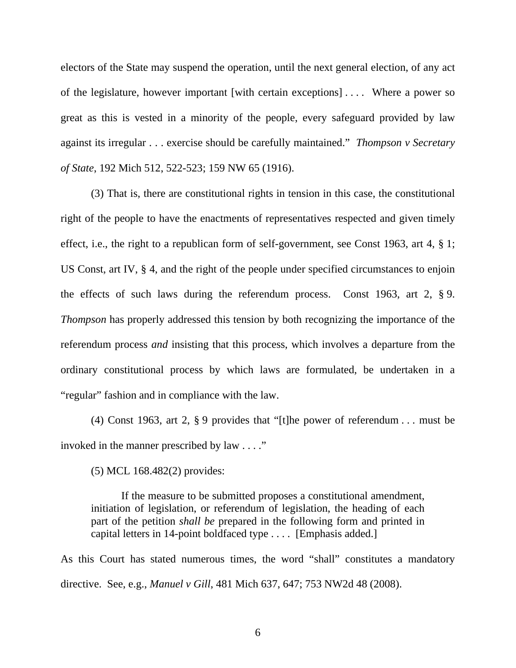electors of the State may suspend the operation, until the next general election, of any act of the legislature, however important [with certain exceptions] . . . . Where a power so great as this is vested in a minority of the people, every safeguard provided by law against its irregular . . . exercise should be carefully maintained." *Thompson v Secretary of State*, 192 Mich 512, 522-523; 159 NW 65 (1916).

(3) That is, there are constitutional rights in tension in this case, the constitutional right of the people to have the enactments of representatives respected and given timely effect, i.e., the right to a republican form of self-government, see Const 1963, art 4, § 1; US Const, art IV, § 4, and the right of the people under specified circumstances to enjoin the effects of such laws during the referendum process. Const 1963, art 2, § 9. *Thompson* has properly addressed this tension by both recognizing the importance of the referendum process *and* insisting that this process, which involves a departure from the ordinary constitutional process by which laws are formulated, be undertaken in a "regular" fashion and in compliance with the law.

(4) Const 1963, art 2,  $\S$  9 provides that "[t]he power of referendum ... must be invoked in the manner prescribed by law . . . ."

(5) MCL 168.482(2) provides:

If the measure to be submitted proposes a constitutional amendment, initiation of legislation, or referendum of legislation, the heading of each part of the petition *shall be* prepared in the following form and printed in capital letters in 14-point boldfaced type . . . . [Emphasis added.]

As this Court has stated numerous times, the word "shall" constitutes a mandatory directive. See, e.g., *Manuel v Gill*, 481 Mich 637, 647; 753 NW2d 48 (2008).

6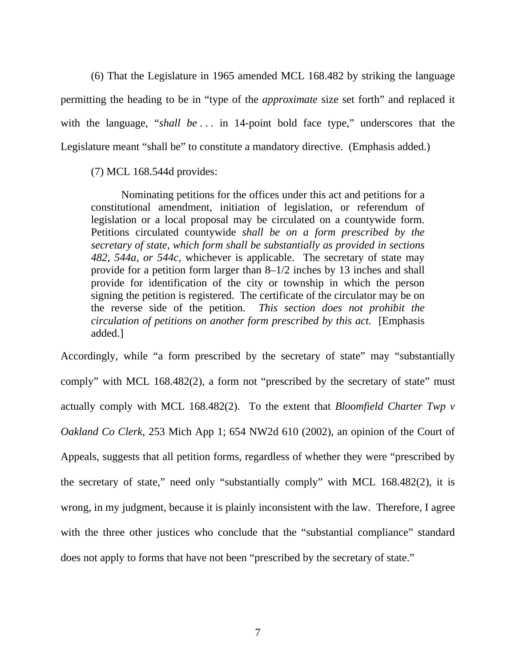(6) That the Legislature in 1965 amended MCL 168.482 by striking the language permitting the heading to be in "type of the *approximate* size set forth" and replaced it with the language, "*shall be* ... in 14-point bold face type," underscores that the Legislature meant "shall be" to constitute a mandatory directive. (Emphasis added.)

#### (7) MCL 168.544d provides:

Nominating petitions for the offices under this act and petitions for a constitutional amendment, initiation of legislation, or referendum of legislation or a local proposal may be circulated on a countywide form. Petitions circulated countywide *shall be on a form prescribed by the secretary of state, which form shall be substantially as provided in sections 482, 544a, or 544c*, whichever is applicable. The secretary of state may provide for a petition form larger than 8–1/2 inches by 13 inches and shall provide for identification of the city or township in which the person signing the petition is registered. The certificate of the circulator may be on the reverse side of the petition. *This section does not prohibit the circulation of petitions on another form prescribed by this act.* [Emphasis added.]

Accordingly, while "a form prescribed by the secretary of state" may "substantially comply" with MCL 168.482(2), a form not "prescribed by the secretary of state" must actually comply with MCL 168.482(2). To the extent that *Bloomfield Charter Twp v Oakland Co Clerk*, 253 Mich App 1; 654 NW2d 610 (2002), an opinion of the Court of Appeals, suggests that all petition forms, regardless of whether they were "prescribed by the secretary of state," need only "substantially comply" with MCL 168.482(2), it is wrong, in my judgment, because it is plainly inconsistent with the law. Therefore, I agree with the three other justices who conclude that the "substantial compliance" standard does not apply to forms that have not been "prescribed by the secretary of state."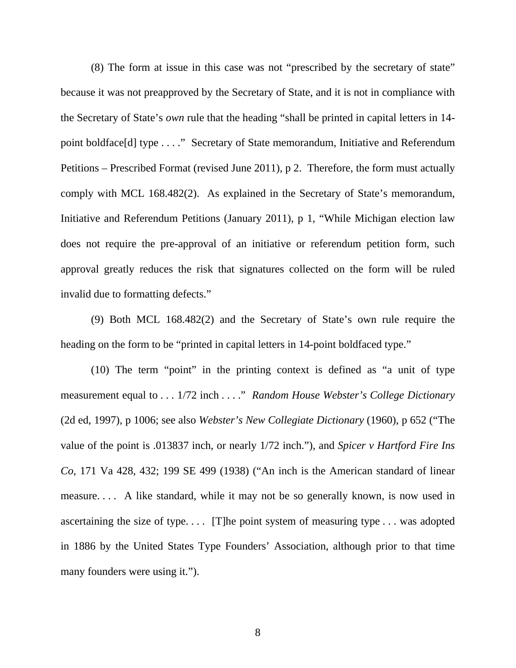(8) The form at issue in this case was not "prescribed by the secretary of state" because it was not preapproved by the Secretary of State, and it is not in compliance with the Secretary of State's *own* rule that the heading "shall be printed in capital letters in 14 point boldface[d] type . . . ." Secretary of State memorandum, Initiative and Referendum Petitions – Prescribed Format (revised June 2011), p 2. Therefore, the form must actually comply with MCL 168.482(2). As explained in the Secretary of State's memorandum, Initiative and Referendum Petitions (January 2011), p 1, "While Michigan election law does not require the pre-approval of an initiative or referendum petition form, such approval greatly reduces the risk that signatures collected on the form will be ruled invalid due to formatting defects."

(9) Both MCL 168.482(2) and the Secretary of State's own rule require the heading on the form to be "printed in capital letters in 14-point boldfaced type."

(10) The term "point" in the printing context is defined as "a unit of type measurement equal to . . . 1/72 inch . . . ." *Random House Webster's College Dictionary* (2d ed, 1997), p 1006; see also *Webster's New Collegiate Dictionary* (1960), p 652 ("The value of the point is .013837 inch, or nearly 1/72 inch."), and *Spicer v Hartford Fire Ins Co*, 171 Va 428, 432; 199 SE 499 (1938) ("An inch is the American standard of linear measure. . . . A like standard, while it may not be so generally known, is now used in ascertaining the size of type. . . . [T]he point system of measuring type . . . was adopted in 1886 by the United States Type Founders' Association, although prior to that time many founders were using it.").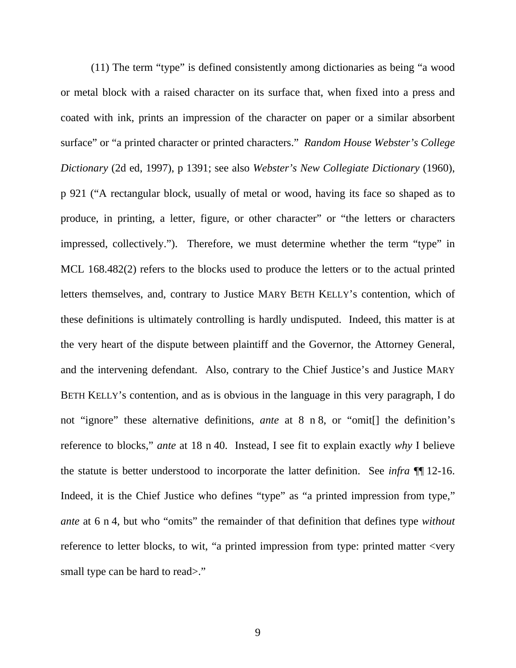(11) The term "type" is defined consistently among dictionaries as being "a wood or metal block with a raised character on its surface that, when fixed into a press and coated with ink, prints an impression of the character on paper or a similar absorbent surface" or "a printed character or printed characters." *Random House Webster's College Dictionary* (2d ed, 1997), p 1391; see also *Webster's New Collegiate Dictionary* (1960), p 921 ("A rectangular block, usually of metal or wood, having its face so shaped as to produce, in printing, a letter, figure, or other character" or "the letters or characters impressed, collectively."). Therefore, we must determine whether the term "type" in MCL 168.482(2) refers to the blocks used to produce the letters or to the actual printed letters themselves, and, contrary to Justice MARY BETH KELLY's contention, which of these definitions is ultimately controlling is hardly undisputed. Indeed, this matter is at the very heart of the dispute between plaintiff and the Governor, the Attorney General, and the intervening defendant. Also, contrary to the Chief Justice's and Justice MARY BETH KELLY's contention, and as is obvious in the language in this very paragraph, I do not "ignore" these alternative definitions, *ante* at 8 n 8, or "omit[] the definition's reference to blocks," *ante* at 18 n 40. Instead, I see fit to explain exactly *why* I believe the statute is better understood to incorporate the latter definition. See *infra* ¶¶ 12-16. Indeed, it is the Chief Justice who defines "type" as "a printed impression from type," *ante* at 6 n 4, but who "omits" the remainder of that definition that defines type *without* reference to letter blocks, to wit, "a printed impression from type: printed matter <very small type can be hard to read>."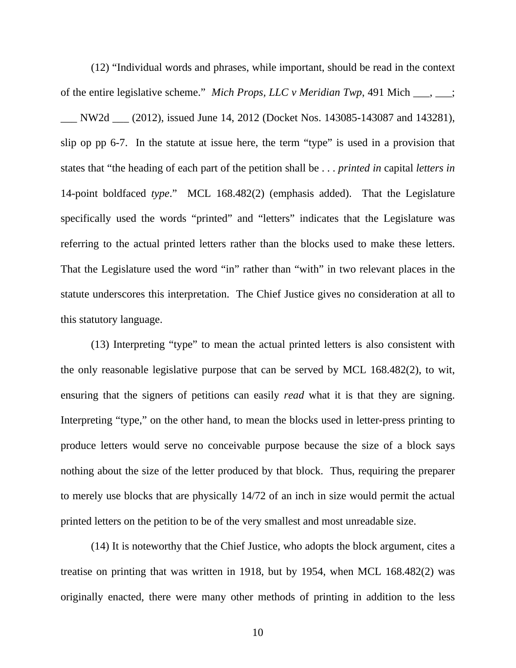(12) "Individual words and phrases, while important, should be read in the context of the entire legislative scheme." *Mich Props, LLC v Meridian Twp*, 491 Mich \_\_\_, \_\_\_; \_\_\_ NW2d \_\_\_ (2012), issued June 14, 2012 (Docket Nos. 143085-143087 and 143281), slip op pp 6-7. In the statute at issue here, the term "type" is used in a provision that states that "the heading of each part of the petition shall be . . . *printed in* capital *letters in* 14-point boldfaced *type*." MCL 168.482(2) (emphasis added). That the Legislature specifically used the words "printed" and "letters" indicates that the Legislature was referring to the actual printed letters rather than the blocks used to make these letters. That the Legislature used the word "in" rather than "with" in two relevant places in the statute underscores this interpretation. The Chief Justice gives no consideration at all to this statutory language.

(13) Interpreting "type" to mean the actual printed letters is also consistent with the only reasonable legislative purpose that can be served by MCL 168.482(2), to wit, ensuring that the signers of petitions can easily *read* what it is that they are signing. Interpreting "type," on the other hand, to mean the blocks used in letter-press printing to produce letters would serve no conceivable purpose because the size of a block says nothing about the size of the letter produced by that block. Thus, requiring the preparer to merely use blocks that are physically 14/72 of an inch in size would permit the actual printed letters on the petition to be of the very smallest and most unreadable size.

(14) It is noteworthy that the Chief Justice, who adopts the block argument, cites a treatise on printing that was written in 1918, but by 1954, when MCL 168.482(2) was originally enacted, there were many other methods of printing in addition to the less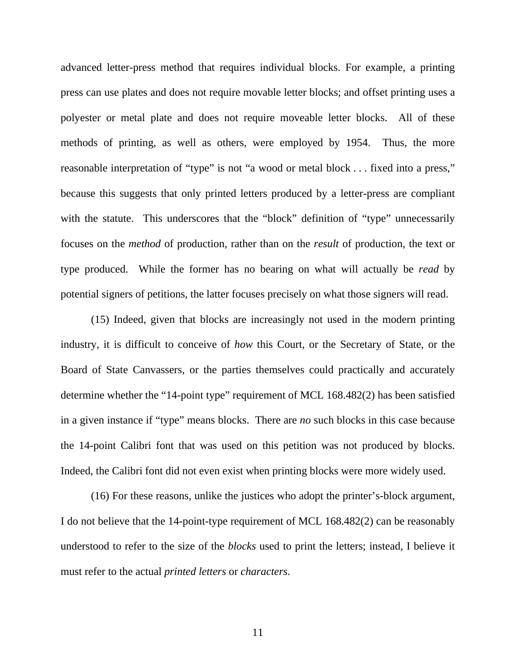advanced letter-press method that requires individual blocks. For example, a printing press can use plates and does not require movable letter blocks; and offset printing uses a polyester or metal plate and does not require moveable letter blocks. All of these methods of printing, as well as others, were employed by 1954. Thus, the more reasonable interpretation of "type" is not "a wood or metal block . . . fixed into a press," because this suggests that only printed letters produced by a letter-press are compliant with the statute. This underscores that the "block" definition of "type" unnecessarily focuses on the *method* of production, rather than on the *result* of production, the text or type produced. While the former has no bearing on what will actually be *read* by potential signers of petitions, the latter focuses precisely on what those signers will read.

(15) Indeed, given that blocks are increasingly not used in the modern printing industry, it is difficult to conceive of *how* this Court, or the Secretary of State, or the Board of State Canvassers, or the parties themselves could practically and accurately determine whether the "14-point type" requirement of MCL 168.482(2) has been satisfied in a given instance if "type" means blocks. There are *no* such blocks in this case because the 14-point Calibri font that was used on this petition was not produced by blocks. Indeed, the Calibri font did not even exist when printing blocks were more widely used.

(16) For these reasons, unlike the justices who adopt the printer's-block argument, I do not believe that the 14-point-type requirement of MCL 168.482(2) can be reasonably understood to refer to the size of the *blocks* used to print the letters; instead, I believe it must refer to the actual *printed letters* or *characters*.

11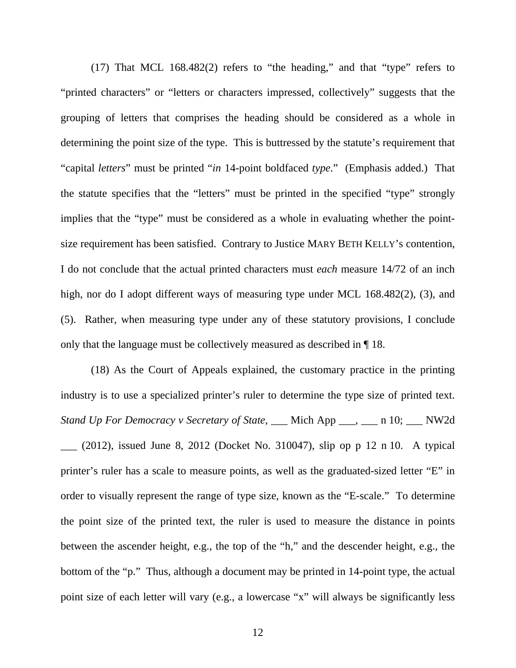(17) That MCL 168.482(2) refers to "the heading," and that "type" refers to "printed characters" or "letters or characters impressed, collectively" suggests that the grouping of letters that comprises the heading should be considered as a whole in determining the point size of the type. This is buttressed by the statute's requirement that "capital *letters*" must be printed "*in* 14-point boldfaced *type*." (Emphasis added.) That the statute specifies that the "letters" must be printed in the specified "type" strongly implies that the "type" must be considered as a whole in evaluating whether the pointsize requirement has been satisfied. Contrary to Justice MARY BETH KELLY's contention, I do not conclude that the actual printed characters must *each* measure 14/72 of an inch high, nor do I adopt different ways of measuring type under MCL 168.482(2), (3), and (5). Rather, when measuring type under any of these statutory provisions, I conclude only that the language must be collectively measured as described in ¶ 18.

(18) As the Court of Appeals explained, the customary practice in the printing industry is to use a specialized printer's ruler to determine the type size of printed text. *Stand Up For Democracy v Secretary of State*, \_\_\_ Mich App \_\_\_, \_\_\_ n 10; \_\_\_ NW2d  $\_\_$  (2012), issued June 8, 2012 (Docket No. 310047), slip op p 12 n 10. A typical printer's ruler has a scale to measure points, as well as the graduated-sized letter "E" in order to visually represent the range of type size, known as the "E-scale." To determine the point size of the printed text, the ruler is used to measure the distance in points between the ascender height, e.g., the top of the "h," and the descender height, e.g., the bottom of the "p." Thus, although a document may be printed in 14-point type, the actual point size of each letter will vary (e.g., a lowercase "x" will always be significantly less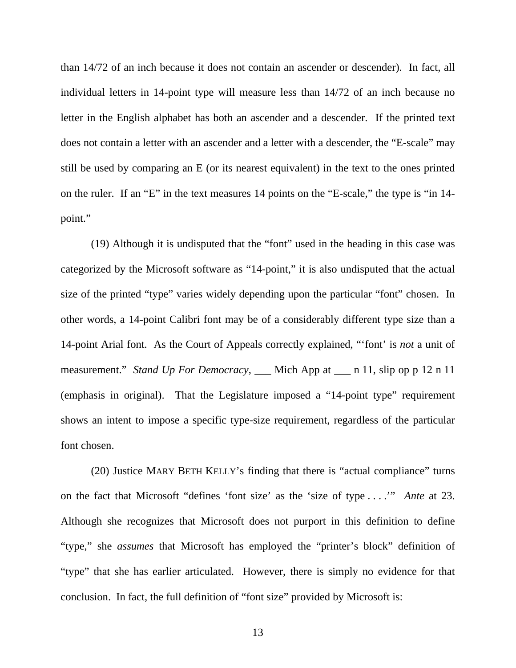than 14/72 of an inch because it does not contain an ascender or descender). In fact, all individual letters in 14-point type will measure less than 14/72 of an inch because no letter in the English alphabet has both an ascender and a descender. If the printed text does not contain a letter with an ascender and a letter with a descender, the "E-scale" may still be used by comparing an E (or its nearest equivalent) in the text to the ones printed on the ruler. If an "E" in the text measures 14 points on the "E-scale," the type is "in 14 point."

(19) Although it is undisputed that the "font" used in the heading in this case was categorized by the Microsoft software as "14-point," it is also undisputed that the actual size of the printed "type" varies widely depending upon the particular "font" chosen. In other words, a 14-point Calibri font may be of a considerably different type size than a 14-point Arial font. As the Court of Appeals correctly explained, "'font' is *not* a unit of measurement." *Stand Up For Democracy*, \_\_\_ Mich App at \_\_\_ n 11, slip op p 12 n 11 (emphasis in original). That the Legislature imposed a "14-point type" requirement shows an intent to impose a specific type-size requirement, regardless of the particular font chosen.

(20) Justice MARY BETH KELLY's finding that there is "actual compliance" turns on the fact that Microsoft "defines 'font size' as the 'size of type . . . .'" *Ante* at 23. Although she recognizes that Microsoft does not purport in this definition to define "type," she *assumes* that Microsoft has employed the "printer's block" definition of "type" that she has earlier articulated. However, there is simply no evidence for that conclusion. In fact, the full definition of "font size" provided by Microsoft is: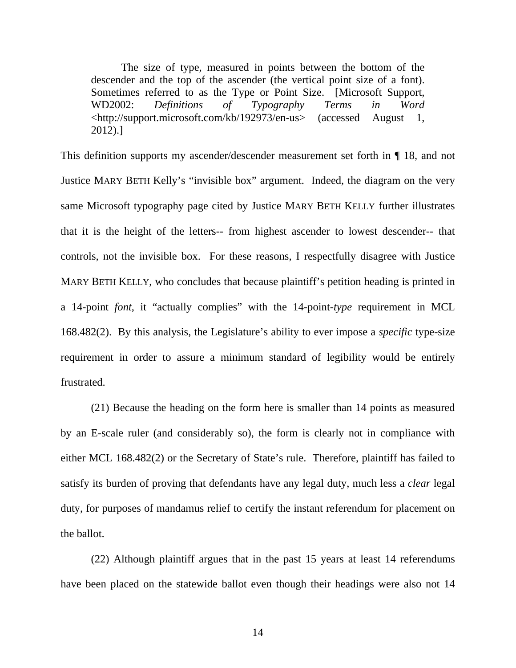The size of type, measured in points between the bottom of the descender and the top of the ascender (the vertical point size of a font). Sometimes referred to as the Type or Point Size. [Microsoft Support, WD2002: *Definitions of Typography Terms in Word* <http://support.microsoft.com/kb/192973/en-us> (accessed August 1, 2012).]

This definition supports my ascender/descender measurement set forth in ¶ 18, and not Justice MARY BETH Kelly's "invisible box" argument. Indeed, the diagram on the very same Microsoft typography page cited by Justice MARY BETH KELLY further illustrates that it is the height of the letters-- from highest ascender to lowest descender-- that controls, not the invisible box. For these reasons, I respectfully disagree with Justice MARY BETH KELLY, who concludes that because plaintiff's petition heading is printed in a 14-point *font*, it "actually complies" with the 14-point-*type* requirement in MCL 168.482(2). By this analysis, the Legislature's ability to ever impose a *specific* type-size requirement in order to assure a minimum standard of legibility would be entirely frustrated.

(21) Because the heading on the form here is smaller than 14 points as measured by an E-scale ruler (and considerably so), the form is clearly not in compliance with either MCL 168.482(2) or the Secretary of State's rule. Therefore, plaintiff has failed to satisfy its burden of proving that defendants have any legal duty, much less a *clear* legal duty, for purposes of mandamus relief to certify the instant referendum for placement on the ballot.

(22) Although plaintiff argues that in the past 15 years at least 14 referendums have been placed on the statewide ballot even though their headings were also not 14

14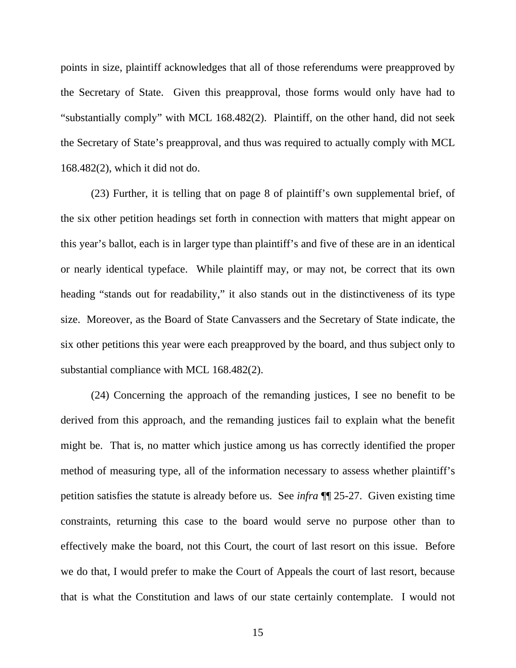points in size, plaintiff acknowledges that all of those referendums were preapproved by the Secretary of State. Given this preapproval, those forms would only have had to "substantially comply" with MCL 168.482(2). Plaintiff, on the other hand, did not seek the Secretary of State's preapproval, and thus was required to actually comply with MCL 168.482(2), which it did not do.

(23) Further, it is telling that on page 8 of plaintiff's own supplemental brief, of the six other petition headings set forth in connection with matters that might appear on this year's ballot, each is in larger type than plaintiff's and five of these are in an identical or nearly identical typeface. While plaintiff may, or may not, be correct that its own heading "stands out for readability," it also stands out in the distinctiveness of its type size. Moreover, as the Board of State Canvassers and the Secretary of State indicate, the six other petitions this year were each preapproved by the board, and thus subject only to substantial compliance with MCL 168.482(2).

(24) Concerning the approach of the remanding justices, I see no benefit to be derived from this approach, and the remanding justices fail to explain what the benefit might be. That is, no matter which justice among us has correctly identified the proper method of measuring type, all of the information necessary to assess whether plaintiff's petition satisfies the statute is already before us. See *infra* ¶¶ 25-27. Given existing time constraints, returning this case to the board would serve no purpose other than to effectively make the board, not this Court, the court of last resort on this issue. Before we do that, I would prefer to make the Court of Appeals the court of last resort, because that is what the Constitution and laws of our state certainly contemplate. I would not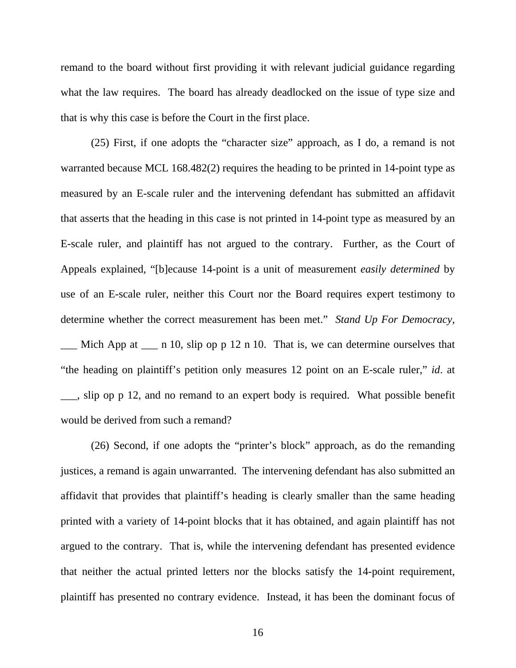remand to the board without first providing it with relevant judicial guidance regarding what the law requires. The board has already deadlocked on the issue of type size and that is why this case is before the Court in the first place.

(25) First, if one adopts the "character size" approach, as I do, a remand is not warranted because MCL 168.482(2) requires the heading to be printed in 14-point type as measured by an E-scale ruler and the intervening defendant has submitted an affidavit that asserts that the heading in this case is not printed in 14-point type as measured by an E-scale ruler, and plaintiff has not argued to the contrary. Further, as the Court of Appeals explained, "[b]ecause 14-point is a unit of measurement *easily determined* by use of an E-scale ruler, neither this Court nor the Board requires expert testimony to determine whether the correct measurement has been met." *Stand Up For Democracy*,

 $\Box$  Mich App at  $\Box$  n 10, slip op p 12 n 10. That is, we can determine ourselves that "the heading on plaintiff's petition only measures 12 point on an E-scale ruler," *id*. at \_\_\_, slip op p 12, and no remand to an expert body is required. What possible benefit would be derived from such a remand?

(26) Second, if one adopts the "printer's block" approach, as do the remanding justices, a remand is again unwarranted. The intervening defendant has also submitted an affidavit that provides that plaintiff's heading is clearly smaller than the same heading printed with a variety of 14-point blocks that it has obtained, and again plaintiff has not argued to the contrary. That is, while the intervening defendant has presented evidence that neither the actual printed letters nor the blocks satisfy the 14-point requirement, plaintiff has presented no contrary evidence. Instead, it has been the dominant focus of